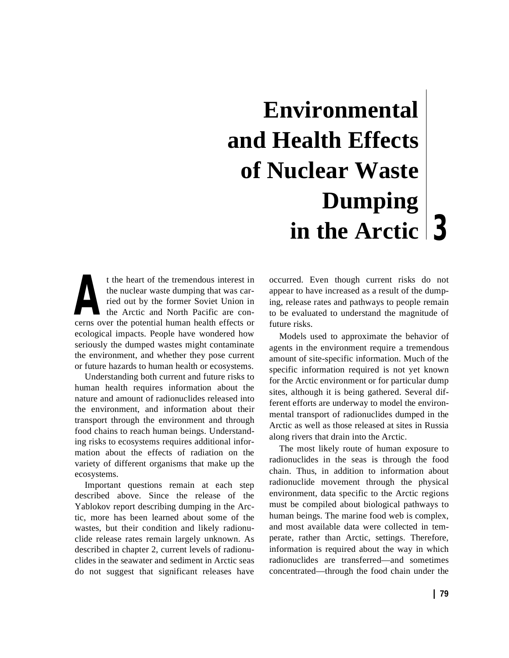# **3 in the Arctic Environmental and Health Effects of Nuclear Waste Dumping**

t the heart of the tremendous interest in the nuclear waste dumping that was carried out by the former Soviet Union in the Arctic and North Pacific are cont the heart of the tremendous interest in<br>the nuclear waste dumping that was car-<br>ried out by the former Soviet Union in<br>the Arctic and North Pacific are con-<br>cerns over the potential human health effects or ecological impacts. People have wondered how seriously the dumped wastes might contaminate the environment, and whether they pose current or future hazards to human health or ecosystems.

Understanding both current and future risks to human health requires information about the nature and amount of radionuclides released into the environment, and information about their transport through the environment and through food chains to reach human beings. Understanding risks to ecosystems requires additional information about the effects of radiation on the variety of different organisms that make up the ecosystems.

Important questions remain at each step described above. Since the release of the Yablokov report describing dumping in the Arctic, more has been learned about some of the wastes, but their condition and likely radionuclide release rates remain largely unknown. As described in chapter 2, current levels of radionuclides in the seawater and sediment in Arctic seas do not suggest that significant releases have

occurred. Even though current risks do not appear to have increased as a result of the dumping, release rates and pathways to people remain to be evaluated to understand the magnitude of future risks.

Models used to approximate the behavior of agents in the environment require a tremendous amount of site-specific information. Much of the specific information required is not yet known for the Arctic environment or for particular dump sites, although it is being gathered. Several different efforts are underway to model the environmental transport of radionuclides dumped in the Arctic as well as those released at sites in Russia along rivers that drain into the Arctic.

The most likely route of human exposure to radionuclides in the seas is through the food chain. Thus, in addition to information about radionuclide movement through the physical environment, data specific to the Arctic regions must be compiled about biological pathways to human beings. The marine food web is complex, and most available data were collected in temperate, rather than Arctic, settings. Therefore, information is required about the way in which radionuclides are transferred—and sometimes concentrated—through the food chain under the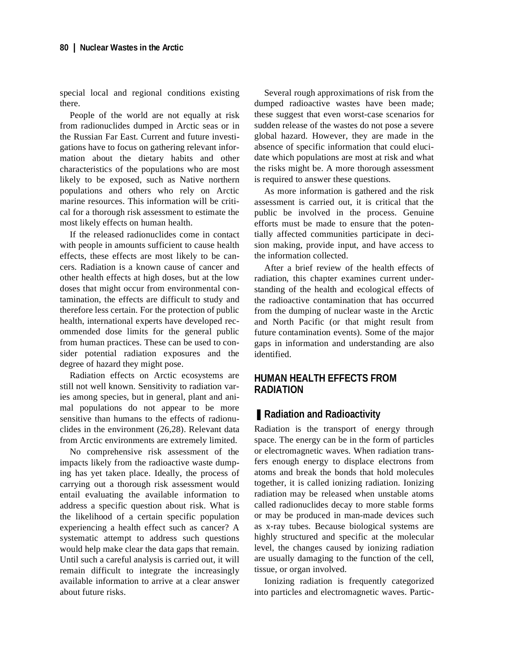special local and regional conditions existing there.

People of the world are not equally at risk from radionuclides dumped in Arctic seas or in the Russian Far East. Current and future investigations have to focus on gathering relevant information about the dietary habits and other characteristics of the populations who are most likely to be exposed, such as Native northern populations and others who rely on Arctic marine resources. This information will be critical for a thorough risk assessment to estimate the most likely effects on human health.

If the released radionuclides come in contact with people in amounts sufficient to cause health effects, these effects are most likely to be cancers. Radiation is a known cause of cancer and other health effects at high doses, but at the low doses that might occur from environmental contamination, the effects are difficult to study and therefore less certain. For the protection of public health, international experts have developed recommended dose limits for the general public from human practices. These can be used to consider potential radiation exposures and the degree of hazard they might pose.

Radiation effects on Arctic ecosystems are still not well known. Sensitivity to radiation varies among species, but in general, plant and animal populations do not appear to be more sensitive than humans to the effects of radionuclides in the environment (26,28). Relevant data from Arctic environments are extremely limited.

No comprehensive risk assessment of the impacts likely from the radioactive waste dumping has yet taken place. Ideally, the process of carrying out a thorough risk assessment would entail evaluating the available information to address a specific question about risk. What is the likelihood of a certain specific population experiencing a health effect such as cancer? A systematic attempt to address such questions would help make clear the data gaps that remain. Until such a careful analysis is carried out, it will remain difficult to integrate the increasingly available information to arrive at a clear answer about future risks.

Several rough approximations of risk from the dumped radioactive wastes have been made; these suggest that even worst-case scenarios for sudden release of the wastes do not pose a severe global hazard. However, they are made in the absence of specific information that could elucidate which populations are most at risk and what the risks might be. A more thorough assessment is required to answer these questions.

As more information is gathered and the risk assessment is carried out, it is critical that the public be involved in the process. Genuine efforts must be made to ensure that the potentially affected communities participate in decision making, provide input, and have access to the information collected.

After a brief review of the health effects of radiation, this chapter examines current understanding of the health and ecological effects of the radioactive contamination that has occurred from the dumping of nuclear waste in the Arctic and North Pacific (or that might result from future contamination events). Some of the major gaps in information and understanding are also identified.

## **HUMAN HEALTH EFFECTS FROM RADIATION**

#### ■ **Radiation and Radioactivity**

Radiation is the transport of energy through space. The energy can be in the form of particles or electromagnetic waves. When radiation transfers enough energy to displace electrons from atoms and break the bonds that hold molecules together, it is called ionizing radiation. Ionizing radiation may be released when unstable atoms called radionuclides decay to more stable forms or may be produced in man-made devices such as x-ray tubes. Because biological systems are highly structured and specific at the molecular level, the changes caused by ionizing radiation are usually damaging to the function of the cell, tissue, or organ involved.

Ionizing radiation is frequently categorized into particles and electromagnetic waves. Partic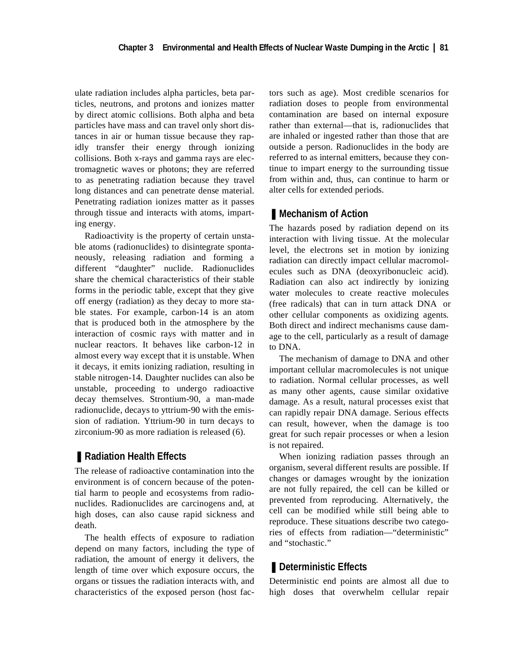ulate radiation includes alpha particles, beta particles, neutrons, and protons and ionizes matter by direct atomic collisions. Both alpha and beta particles have mass and can travel only short distances in air or human tissue because they rapidly transfer their energy through ionizing collisions. Both x-rays and gamma rays are electromagnetic waves or photons; they are referred to as penetrating radiation because they travel long distances and can penetrate dense material. Penetrating radiation ionizes matter as it passes through tissue and interacts with atoms, imparting energy.

Radioactivity is the property of certain unstable atoms (radionuclides) to disintegrate spontaneously, releasing radiation and forming a different "daughter" nuclide. Radionuclides share the chemical characteristics of their stable forms in the periodic table, except that they give off energy (radiation) as they decay to more stable states. For example, carbon-14 is an atom that is produced both in the atmosphere by the interaction of cosmic rays with matter and in nuclear reactors. It behaves like carbon-12 in almost every way except that it is unstable. When it decays, it emits ionizing radiation, resulting in stable nitrogen-14. Daughter nuclides can also be unstable, proceeding to undergo radioactive decay themselves. Strontium-90, a man-made radionuclide, decays to yttrium-90 with the emission of radiation. Yttrium-90 in turn decays to zirconium-90 as more radiation is released (6).

# ■ **Radiation Health Effects**

The release of radioactive contamination into the environment is of concern because of the potential harm to people and ecosystems from radionuclides. Radionuclides are carcinogens and, at high doses, can also cause rapid sickness and death.

The health effects of exposure to radiation depend on many factors, including the type of radiation, the amount of energy it delivers, the length of time over which exposure occurs, the organs or tissues the radiation interacts with, and characteristics of the exposed person (host factors such as age). Most credible scenarios for radiation doses to people from environmental contamination are based on internal exposure rather than external—that is, radionuclides that are inhaled or ingested rather than those that are outside a person. Radionuclides in the body are referred to as internal emitters, because they continue to impart energy to the surrounding tissue from within and, thus, can continue to harm or alter cells for extended periods.

## ■ Mechanism of Action

The hazards posed by radiation depend on its interaction with living tissue. At the molecular level, the electrons set in motion by ionizing radiation can directly impact cellular macromolecules such as DNA (deoxyribonucleic acid). Radiation can also act indirectly by ionizing water molecules to create reactive molecules (free radicals) that can in turn attack DNA or other cellular components as oxidizing agents. Both direct and indirect mechanisms cause damage to the cell, particularly as a result of damage to DNA.

The mechanism of damage to DNA and other important cellular macromolecules is not unique to radiation. Normal cellular processes, as well as many other agents, cause similar oxidative damage. As a result, natural processes exist that can rapidly repair DNA damage. Serious effects can result, however, when the damage is too great for such repair processes or when a lesion is not repaired.

When ionizing radiation passes through an organism, several different results are possible. If changes or damages wrought by the ionization are not fully repaired, the cell can be killed or prevented from reproducing. Alternatively, the cell can be modified while still being able to reproduce. These situations describe two categories of effects from radiation—"deterministic" and "stochastic."

# ■ Deterministic Effects

Deterministic end points are almost all due to high doses that overwhelm cellular repair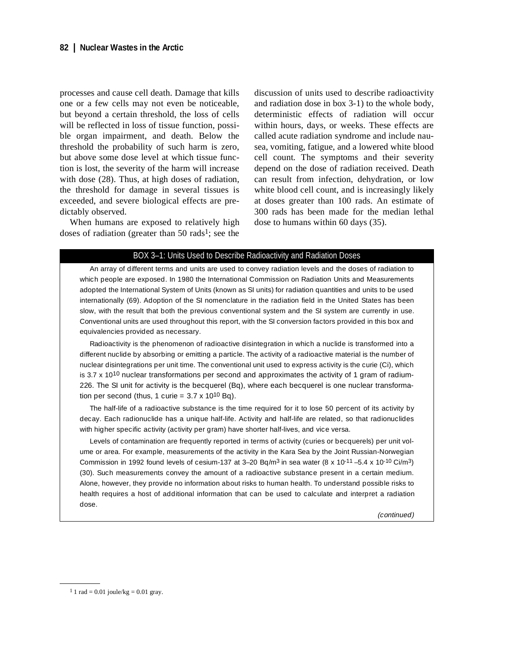processes and cause cell death. Damage that kills one or a few cells may not even be noticeable, but beyond a certain threshold, the loss of cells will be reflected in loss of tissue function, possible organ impairment, and death. Below the threshold the probability of such harm is zero, but above some dose level at which tissue function is lost, the severity of the harm will increase with dose (28). Thus, at high doses of radiation, the threshold for damage in several tissues is exceeded, and severe biological effects are predictably observed.

When humans are exposed to relatively high doses of radiation (greater than  $50 \text{ rads}^1$ ; see the

discussion of units used to describe radioactivity and radiation dose in box 3-1) to the whole body, deterministic effects of radiation will occur within hours, days, or weeks. These effects are called acute radiation syndrome and include nausea, vomiting, fatigue, and a lowered white blood cell count. The symptoms and their severity depend on the dose of radiation received. Death can result from infection, dehydration, or low white blood cell count, and is increasingly likely at doses greater than 100 rads. An estimate of 300 rads has been made for the median lethal dose to humans within 60 days (35).

#### BOX 3–1: Units Used to Describe Radioactivity and Radiation Doses

An array of different terms and units are used to convey radiation levels and the doses of radiation to which people are exposed. In 1980 the International Commission on Radiation Units and Measurements adopted the International System of Units (known as SI units) for radiation quantities and units to be used internationally (69). Adoption of the SI nomenclature in the radiation field in the United States has been slow, with the result that both the previous conventional system and the SI system are currently in use. Conventional units are used throughout this report, with the SI conversion factors provided in this box and equivalencies provided as necessary.

Radioactivity is the phenomenon of radioactive disintegration in which a nuclide is transformed into a different nuclide by absorbing or emitting a particle. The activity of a radioactive material is the number of nuclear disintegrations per unit time. The conventional unit used to express activity is the curie (Ci), which is 3.7  $\times$  10<sup>10</sup> nuclear transformations per second and approximates the activity of 1 gram of radium-226. The SI unit for activity is the becquerel (Bq), where each becquerel is one nuclear transformation per second (thus, 1 curie =  $3.7 \times 10^{10}$  Bq).

The half-life of a radioactive substance is the time required for it to lose 50 percent of its activity by decay. Each radionuclide has a unique half-life. Activity and half-life are related, so that radionuclides with higher specific activity (activity per gram) have shorter half-lives, and vice versa.

Levels of contamination are frequently reported in terms of activity (curies or becquerels) per unit volume or area. For example, measurements of the activity in the Kara Sea by the Joint Russian-Norwegian Commission in 1992 found levels of cesium-137 at 3-20 Bq/m<sup>3</sup> in sea water (8 x 10<sup>-11</sup> –5.4 x 10<sup>-10</sup> Ci/m<sup>3</sup>) (30). Such measurements convey the amount of a radioactive substance present in a certain medium. Alone, however, they provide no information about risks to human health. To understand possible risks to health requires a host of additional information that can be used to calculate and interpret a radiation dose.

(continued)

 $11$  rad = 0.01 joule/kg = 0.01 gray.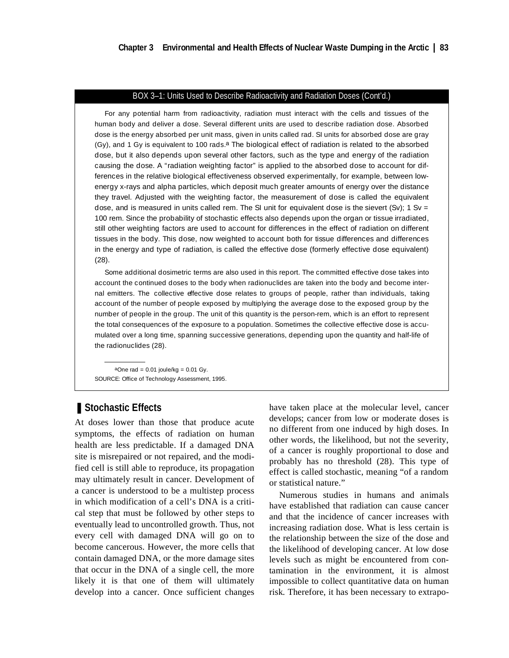#### BOX 3–1: Units Used to Describe Radioactivity and Radiation Doses (Cont'd.)

For any potential harm from radioactivity, radiation must interact with the cells and tissues of the human body and deliver a dose. Several different units are used to describe radiation dose. Absorbed dose is the energy absorbed per unit mass, given in units called rad. SI units for absorbed dose are gray (Gy), and 1 Gy is equivalent to 100 rads.<sup>a</sup> The biological effect of radiation is related to the absorbed dose, but it also depends upon several other factors, such as the type and energy of the radiation causing the dose. A "radiation weighting factor" is applied to the absorbed dose to account for differences in the relative biological effectiveness observed experimentally, for example, between lowenergy x-rays and alpha particles, which deposit much greater amounts of energy over the distance they travel. Adjusted with the weighting factor, the measurement of dose is called the equivalent dose, and is measured in units called rem. The SI unit for equivalent dose is the sievert (Sv); 1 Sv = 100 rem. Since the probability of stochastic effects also depends upon the organ or tissue irradiated, still other weighting factors are used to account for differences in the effect of radiation on different tissues in the body. This dose, now weighted to account both for tissue differences and differences in the energy and type of radiation, is called the effective dose (formerly effective dose equivalent) (28).

Some additional dosimetric terms are also used in this report. The committed effective dose takes into account the continued doses to the body when radionuclides are taken into the body and become internal emitters. The collective effective dose relates to groups of people, rather than individuals, taking account of the number of people exposed by multiplying the average dose to the exposed group by the number of people in the group. The unit of this quantity is the person-rem, which is an effort to represent the total consequences of the exposure to a population. Sometimes the collective effective dose is accumulated over a long time, spanning successive generations, depending upon the quantity and half-life of the radionuclides (28).

aOne rad =  $0.01$  joule/kg =  $0.01$  Gy. SOURCE: Office of Technology Assessment, 1995.

# ■ Stochastic Effects

At doses lower than those that produce acute symptoms, the effects of radiation on human health are less predictable. If a damaged DNA site is misrepaired or not repaired, and the modified cell is still able to reproduce, its propagation may ultimately result in cancer. Development of a cancer is understood to be a multistep process in which modification of a cell's DNA is a critical step that must be followed by other steps to eventually lead to uncontrolled growth. Thus, not every cell with damaged DNA will go on to become cancerous. However, the more cells that contain damaged DNA, or the more damage sites that occur in the DNA of a single cell, the more likely it is that one of them will ultimately develop into a cancer. Once sufficient changes

have taken place at the molecular level, cancer develops; cancer from low or moderate doses is no different from one induced by high doses. In other words, the likelihood, but not the severity, of a cancer is roughly proportional to dose and probably has no threshold (28). This type of effect is called stochastic, meaning "of a random or statistical nature."

Numerous studies in humans and animals have established that radiation can cause cancer and that the incidence of cancer increases with increasing radiation dose. What is less certain is the relationship between the size of the dose and the likelihood of developing cancer. At low dose levels such as might be encountered from contamination in the environment, it is almost impossible to collect quantitative data on human risk. Therefore, it has been necessary to extrapo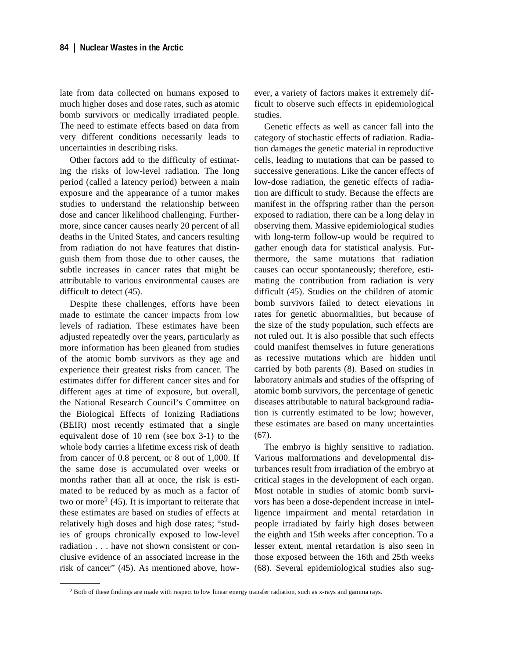late from data collected on humans exposed to much higher doses and dose rates, such as atomic bomb survivors or medically irradiated people. The need to estimate effects based on data from very different conditions necessarily leads to uncertainties in describing risks.

Other factors add to the difficulty of estimating the risks of low-level radiation. The long period (called a latency period) between a main exposure and the appearance of a tumor makes studies to understand the relationship between dose and cancer likelihood challenging. Furthermore, since cancer causes nearly 20 percent of all deaths in the United States, and cancers resulting from radiation do not have features that distinguish them from those due to other causes, the subtle increases in cancer rates that might be attributable to various environmental causes are difficult to detect (45).

Despite these challenges, efforts have been made to estimate the cancer impacts from low levels of radiation. These estimates have been adjusted repeatedly over the years, particularly as more information has been gleaned from studies of the atomic bomb survivors as they age and experience their greatest risks from cancer. The estimates differ for different cancer sites and for different ages at time of exposure, but overall, the National Research Council's Committee on the Biological Effects of Ionizing Radiations (BEIR) most recently estimated that a single equivalent dose of 10 rem (see box 3-1) to the whole body carries a lifetime excess risk of death from cancer of 0.8 percent, or 8 out of 1,000. If the same dose is accumulated over weeks or months rather than all at once, the risk is estimated to be reduced by as much as a factor of two or more2 (45). It is important to reiterate that these estimates are based on studies of effects at relatively high doses and high dose rates; "studies of groups chronically exposed to low-level radiation . . . have not shown consistent or conclusive evidence of an associated increase in the risk of cancer" (45). As mentioned above, however, a variety of factors makes it extremely difficult to observe such effects in epidemiological studies.

Genetic effects as well as cancer fall into the category of stochastic effects of radiation. Radiation damages the genetic material in reproductive cells, leading to mutations that can be passed to successive generations. Like the cancer effects of low-dose radiation, the genetic effects of radiation are difficult to study. Because the effects are manifest in the offspring rather than the person exposed to radiation, there can be a long delay in observing them. Massive epidemiological studies with long-term follow-up would be required to gather enough data for statistical analysis. Furthermore, the same mutations that radiation causes can occur spontaneously; therefore, estimating the contribution from radiation is very difficult (45). Studies on the children of atomic bomb survivors failed to detect elevations in rates for genetic abnormalities, but because of the size of the study population, such effects are not ruled out. It is also possible that such effects could manifest themselves in future generations as recessive mutations which are hidden until carried by both parents (8). Based on studies in laboratory animals and studies of the offspring of atomic bomb survivors, the percentage of genetic diseases attributable to natural background radiation is currently estimated to be low; however, these estimates are based on many uncertainties (67).

The embryo is highly sensitive to radiation. Various malformations and developmental disturbances result from irradiation of the embryo at critical stages in the development of each organ. Most notable in studies of atomic bomb survivors has been a dose-dependent increase in intelligence impairment and mental retardation in people irradiated by fairly high doses between the eighth and 15th weeks after conception. To a lesser extent, mental retardation is also seen in those exposed between the 16th and 25th weeks (68). Several epidemiological studies also sug-

<sup>2</sup> Both of these findings are made with respect to low linear energy transfer radiation, such as x-rays and gamma rays.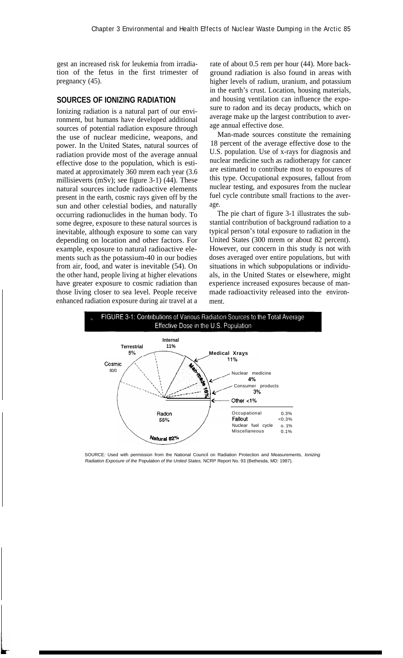gest an increased risk for leukemia from irradiation of the fetus in the first trimester of pregnancy (45).

## **SOURCES OF IONIZING RADIATION**

Ionizing radiation is a natural part of our environment, but humans have developed additional sources of potential radiation exposure through the use of nuclear medicine, weapons, and power. In the United States, natural sources of radiation provide most of the average annual effective dose to the population, which is estimated at approximately 360 mrem each year (3.6 millisieverts (mSv); see figure 3-1) (44). These natural sources include radioactive elements present in the earth, cosmic rays given off by the sun and other celestial bodies, and naturally occurring radionuclides in the human body. To some degree, exposure to these natural sources is inevitable, although exposure to some can vary depending on location and other factors. For example, exposure to natural radioactive elements such as the potassium-40 in our bodies from air, food, and water is inevitable (54). On the other hand, people living at higher elevations have greater exposure to cosmic radiation than those living closer to sea level. People receive enhanced radiation exposure during air travel at a

rate of about 0.5 rem per hour (44). More background radiation is also found in areas with higher levels of radium, uranium, and potassium in the earth's crust. Location, housing materials, and housing ventilation can influence the exposure to radon and its decay products, which on average make up the largest contribution to average annual effective dose.

Man-made sources constitute the remaining 18 percent of the average effective dose to the U.S. population. Use of x-rays for diagnosis and nuclear medicine such as radiotherapy for cancer are estimated to contribute most to exposures of this type. Occupational exposures, fallout from nuclear testing, and exposures from the nuclear fuel cycle contribute small fractions to the average.

The pie chart of figure 3-1 illustrates the substantial contribution of background radiation to a typical person's total exposure to radiation in the United States (300 mrem or about 82 percent). However, our concern in this study is not with doses averaged over entire populations, but with situations in which subpopulations or individuals, in the United States or elsewhere, might experience increased exposures because of manmade radioactivity released into the environment.



SOURCE: Used with permission from the National Council on Radiation Protection and Measurements, Ionizing Radiation Exposure of the Population of the United States, NCRP Report No. 93 (Bethesda, MD: 1987).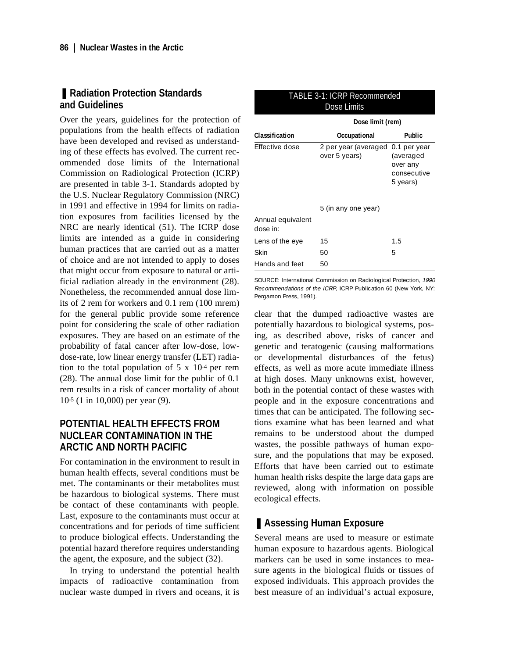## ■ **Radiation Protection Standards and Guidelines**

Over the years, guidelines for the protection of populations from the health effects of radiation have been developed and revised as understanding of these effects has evolved. The current recommended dose limits of the International Commission on Radiological Protection (ICRP) are presented in table 3-1. Standards adopted by the U.S. Nuclear Regulatory Commission (NRC) in 1991 and effective in 1994 for limits on radiation exposures from facilities licensed by the NRC are nearly identical (51). The ICRP dose limits are intended as a guide in considering human practices that are carried out as a matter of choice and are not intended to apply to doses that might occur from exposure to natural or artificial radiation already in the environment (28). Nonetheless, the recommended annual dose limits of 2 rem for workers and 0.1 rem (100 mrem) for the general public provide some reference point for considering the scale of other radiation exposures. They are based on an estimate of the probability of fatal cancer after low-dose, lowdose-rate, low linear energy transfer (LET) radiation to the total population of  $5 \times 10^{-4}$  per rem (28). The annual dose limit for the public of 0.1 rem results in a risk of cancer mortality of about 10-5 (1 in 10,000) per year (9).

# **POTENTIAL HEALTH EFFECTS FROM NUCLEAR CONTAMINATION IN THE ARCTIC AND NORTH PACIFIC**

For contamination in the environment to result in human health effects, several conditions must be met. The contaminants or their metabolites must be hazardous to biological systems. There must be contact of these contaminants with people. Last, exposure to the contaminants must occur at concentrations and for periods of time sufficient to produce biological effects. Understanding the potential hazard therefore requires understanding the agent, the exposure, and the subject (32).

In trying to understand the potential health impacts of radioactive contamination from nuclear waste dumped in rivers and oceans, it is

|                               | Dose limit (rem)                                   |                                                  |  |
|-------------------------------|----------------------------------------------------|--------------------------------------------------|--|
| Classification                | Occupational                                       | <b>Public</b>                                    |  |
| Effective dose                | 2 per year (averaged 0.1 per year<br>over 5 years) | (averaged<br>over any<br>consecutive<br>5 years) |  |
|                               | 5 (in any one year)                                |                                                  |  |
| Annual equivalent<br>dose in: |                                                    |                                                  |  |
| Lens of the eye               | 15                                                 | 1.5                                              |  |
| Skin                          | 50                                                 | 5                                                |  |
| Hands and feet                | 50                                                 |                                                  |  |

TABLE 3-1: ICRP Recommended Dose Limits

SOURCE: International Commission on Radiological Protection, 1990 Recommendations of the ICRP, ICRP Publication 60 (New York, NY: Pergamon Press, 1991).

clear that the dumped radioactive wastes are potentially hazardous to biological systems, posing, as described above, risks of cancer and genetic and teratogenic (causing malformations or developmental disturbances of the fetus) effects, as well as more acute immediate illness at high doses. Many unknowns exist, however, both in the potential contact of these wastes with people and in the exposure concentrations and times that can be anticipated. The following sections examine what has been learned and what remains to be understood about the dumped wastes, the possible pathways of human exposure, and the populations that may be exposed. Efforts that have been carried out to estimate human health risks despite the large data gaps are reviewed, along with information on possible ecological effects.

# ■ **Assessing Human Exposure**

Several means are used to measure or estimate human exposure to hazardous agents. Biological markers can be used in some instances to measure agents in the biological fluids or tissues of exposed individuals. This approach provides the best measure of an individual's actual exposure,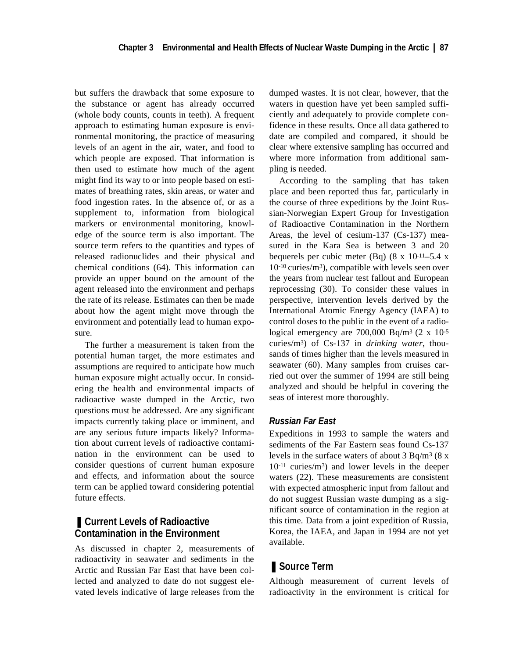but suffers the drawback that some exposure to the substance or agent has already occurred (whole body counts, counts in teeth). A frequent approach to estimating human exposure is environmental monitoring, the practice of measuring levels of an agent in the air, water, and food to which people are exposed. That information is then used to estimate how much of the agent might find its way to or into people based on estimates of breathing rates, skin areas, or water and food ingestion rates. In the absence of, or as a supplement to, information from biological markers or environmental monitoring, knowledge of the source term is also important. The source term refers to the quantities and types of released radionuclides and their physical and chemical conditions (64). This information can provide an upper bound on the amount of the agent released into the environment and perhaps the rate of its release. Estimates can then be made about how the agent might move through the environment and potentially lead to human exposure.

The further a measurement is taken from the potential human target, the more estimates and assumptions are required to anticipate how much human exposure might actually occur. In considering the health and environmental impacts of radioactive waste dumped in the Arctic, two questions must be addressed. Are any significant impacts currently taking place or imminent, and are any serious future impacts likely? Information about current levels of radioactive contamination in the environment can be used to consider questions of current human exposure and effects, and information about the source term can be applied toward considering potential future effects.

## ■ Current Levels of Radioactive **Contamination in the Environment**

As discussed in chapter 2, measurements of radioactivity in seawater and sediments in the Arctic and Russian Far East that have been collected and analyzed to date do not suggest elevated levels indicative of large releases from the dumped wastes. It is not clear, however, that the waters in question have yet been sampled sufficiently and adequately to provide complete confidence in these results. Once all data gathered to date are compiled and compared, it should be clear where extensive sampling has occurred and where more information from additional sampling is needed.

According to the sampling that has taken place and been reported thus far, particularly in the course of three expeditions by the Joint Russian-Norwegian Expert Group for Investigation of Radioactive Contamination in the Northern Areas, the level of cesium-137 (Cs-137) measured in the Kara Sea is between 3 and 20 bequerels per cubic meter (Bq)  $(8 \times 10^{-11} - 5.4 \times 10^{-11})$ 10-10 curies/m3), compatible with levels seen over the years from nuclear test fallout and European reprocessing (30). To consider these values in perspective, intervention levels derived by the International Atomic Energy Agency (IAEA) to control doses to the public in the event of a radiological emergency are  $700,000$  Bq/m<sup>3</sup> (2 x 10<sup>-5</sup>) curies/m3) of Cs-137 in *drinking water*, thousands of times higher than the levels measured in seawater (60). Many samples from cruises carried out over the summer of 1994 are still being analyzed and should be helpful in covering the seas of interest more thoroughly.

#### *Russian Far East*

Expeditions in 1993 to sample the waters and sediments of the Far Eastern seas found Cs-137 levels in the surface waters of about  $3$  Bq/m<sup>3</sup> ( $8 \text{ x}$ ) 10-11 curies/m3) and lower levels in the deeper waters (22). These measurements are consistent with expected atmospheric input from fallout and do not suggest Russian waste dumping as a significant source of contamination in the region at this time. Data from a joint expedition of Russia, Korea, the IAEA, and Japan in 1994 are not yet available.

# ■ **Source Term**

Although measurement of current levels of radioactivity in the environment is critical for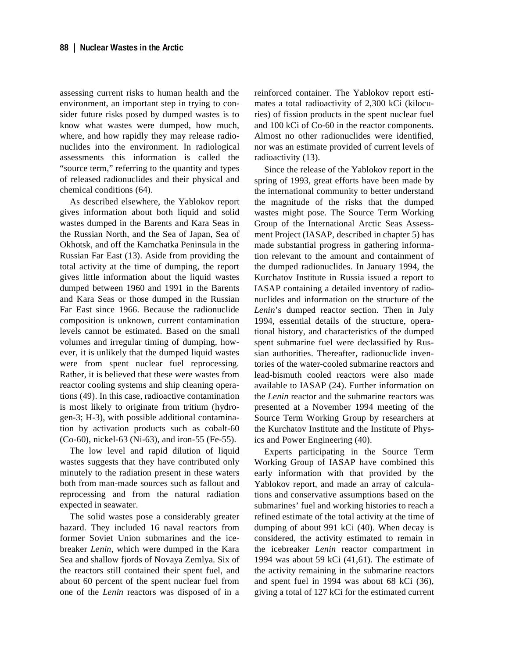assessing current risks to human health and the environment, an important step in trying to consider future risks posed by dumped wastes is to know what wastes were dumped, how much, where, and how rapidly they may release radionuclides into the environment. In radiological assessments this information is called the "source term," referring to the quantity and types of released radionuclides and their physical and chemical conditions (64).

As described elsewhere, the Yablokov report gives information about both liquid and solid wastes dumped in the Barents and Kara Seas in the Russian North, and the Sea of Japan, Sea of Okhotsk, and off the Kamchatka Peninsula in the Russian Far East (13). Aside from providing the total activity at the time of dumping, the report gives little information about the liquid wastes dumped between 1960 and 1991 in the Barents and Kara Seas or those dumped in the Russian Far East since 1966. Because the radionuclide composition is unknown, current contamination levels cannot be estimated. Based on the small volumes and irregular timing of dumping, however, it is unlikely that the dumped liquid wastes were from spent nuclear fuel reprocessing. Rather, it is believed that these were wastes from reactor cooling systems and ship cleaning operations (49). In this case, radioactive contamination is most likely to originate from tritium (hydrogen-3; H-3), with possible additional contamination by activation products such as cobalt-60 (Co-60), nickel-63 (Ni-63), and iron-55 (Fe-55).

The low level and rapid dilution of liquid wastes suggests that they have contributed only minutely to the radiation present in these waters both from man-made sources such as fallout and reprocessing and from the natural radiation expected in seawater.

The solid wastes pose a considerably greater hazard. They included 16 naval reactors from former Soviet Union submarines and the icebreaker *Lenin*, which were dumped in the Kara Sea and shallow fjords of Novaya Zemlya. Six of the reactors still contained their spent fuel, and about 60 percent of the spent nuclear fuel from one of the *Lenin* reactors was disposed of in a

reinforced container. The Yablokov report estimates a total radioactivity of 2,300 kCi (kilocuries) of fission products in the spent nuclear fuel and 100 kCi of Co-60 in the reactor components. Almost no other radionuclides were identified, nor was an estimate provided of current levels of radioactivity (13).

Since the release of the Yablokov report in the spring of 1993, great efforts have been made by the international community to better understand the magnitude of the risks that the dumped wastes might pose. The Source Term Working Group of the International Arctic Seas Assessment Project (IASAP, described in chapter 5) has made substantial progress in gathering information relevant to the amount and containment of the dumped radionuclides. In January 1994, the Kurchatov Institute in Russia issued a report to IASAP containing a detailed inventory of radionuclides and information on the structure of the *Lenin*'s dumped reactor section. Then in July 1994, essential details of the structure, operational history, and characteristics of the dumped spent submarine fuel were declassified by Russian authorities. Thereafter, radionuclide inventories of the water-cooled submarine reactors and lead-bismuth cooled reactors were also made available to IASAP (24). Further information on the *Lenin* reactor and the submarine reactors was presented at a November 1994 meeting of the Source Term Working Group by researchers at the Kurchatov Institute and the Institute of Physics and Power Engineering (40).

Experts participating in the Source Term Working Group of IASAP have combined this early information with that provided by the Yablokov report, and made an array of calculations and conservative assumptions based on the submarines' fuel and working histories to reach a refined estimate of the total activity at the time of dumping of about 991 kCi (40). When decay is considered, the activity estimated to remain in the icebreaker *Lenin* reactor compartment in 1994 was about 59 kCi (41,61). The estimate of the activity remaining in the submarine reactors and spent fuel in 1994 was about 68 kCi (36), giving a total of 127 kCi for the estimated current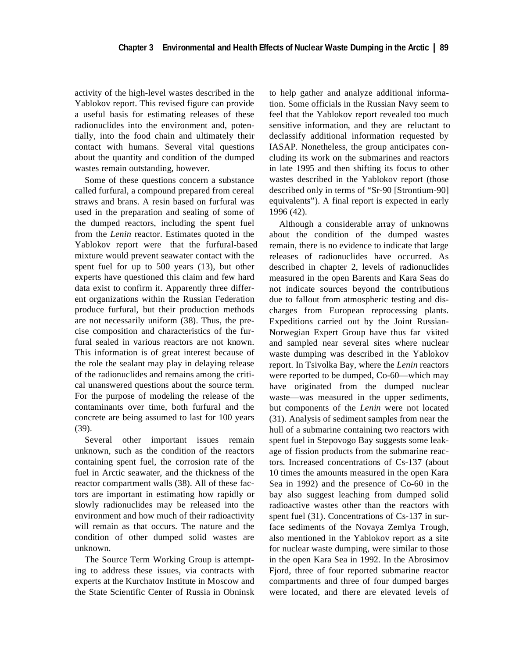activity of the high-level wastes described in the Yablokov report. This revised figure can provide a useful basis for estimating releases of these radionuclides into the environment and, potentially, into the food chain and ultimately their contact with humans. Several vital questions about the quantity and condition of the dumped wastes remain outstanding, however.

Some of these questions concern a substance called furfural, a compound prepared from cereal straws and brans. A resin based on furfural was used in the preparation and sealing of some of the dumped reactors, including the spent fuel from the *Lenin* reactor. Estimates quoted in the Yablokov report were that the furfural-based mixture would prevent seawater contact with the spent fuel for up to 500 years (13), but other experts have questioned this claim and few hard data exist to confirm it. Apparently three different organizations within the Russian Federation produce furfural, but their production methods are not necessarily uniform (38). Thus, the precise composition and characteristics of the furfural sealed in various reactors are not known. This information is of great interest because of the role the sealant may play in delaying release of the radionuclides and remains among the critical unanswered questions about the source term. For the purpose of modeling the release of the contaminants over time, both furfural and the concrete are being assumed to last for 100 years (39).

Several other important issues remain unknown, such as the condition of the reactors containing spent fuel, the corrosion rate of the fuel in Arctic seawater, and the thickness of the reactor compartment walls (38). All of these factors are important in estimating how rapidly or slowly radionuclides may be released into the environment and how much of their radioactivity will remain as that occurs. The nature and the condition of other dumped solid wastes are unknown.

The Source Term Working Group is attempting to address these issues, via contracts with experts at the Kurchatov Institute in Moscow and the State Scientific Center of Russia in Obninsk to help gather and analyze additional information. Some officials in the Russian Navy seem to feel that the Yablokov report revealed too much sensitive information, and they are reluctant to declassify additional information requested by IASAP. Nonetheless, the group anticipates concluding its work on the submarines and reactors in late 1995 and then shifting its focus to other wastes described in the Yablokov report (those described only in terms of "Sr-90 [Strontium-90] equivalents"). A final report is expected in early 1996 (42).

Although a considerable array of unknowns about the condition of the dumped wastes remain, there is no evidence to indicate that large releases of radionuclides have occurred. As described in chapter 2, levels of radionuclides measured in the open Barents and Kara Seas do not indicate sources beyond the contributions due to fallout from atmospheric testing and discharges from European reprocessing plants. Expeditions carried out by the Joint Russian-Norwegian Expert Group have thus far visted and sampled near several sites where nuclear waste dumping was described in the Yablokov report. In Tsivolka Bay, where the *Lenin* reactors were reported to be dumped, Co-60—which may have originated from the dumped nuclear waste—was measured in the upper sediments, but components of the *Lenin* were not located (31). Analysis of sediment samples from near the hull of a submarine containing two reactors with spent fuel in Stepovogo Bay suggests some leakage of fission products from the submarine reactors. Increased concentrations of Cs-137 (about 10 times the amounts measured in the open Kara Sea in 1992) and the presence of Co-60 in the bay also suggest leaching from dumped solid radioactive wastes other than the reactors with spent fuel (31). Concentrations of Cs-137 in surface sediments of the Novaya Zemlya Trough, also mentioned in the Yablokov report as a site for nuclear waste dumping, were similar to those in the open Kara Sea in 1992. In the Abrosimov Fjord, three of four reported submarine reactor compartments and three of four dumped barges were located, and there are elevated levels of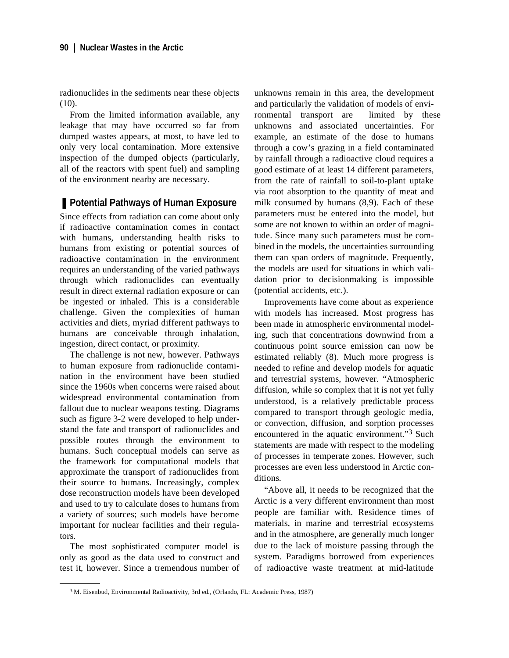radionuclides in the sediments near these objects (10).

From the limited information available, any leakage that may have occurred so far from dumped wastes appears, at most, to have led to only very local contamination. More extensive inspection of the dumped objects (particularly, all of the reactors with spent fuel) and sampling of the environment nearby are necessary.

## ■ Potential Pathways of Human Exposure

Since effects from radiation can come about only if radioactive contamination comes in contact with humans, understanding health risks to humans from existing or potential sources of radioactive contamination in the environment requires an understanding of the varied pathways through which radionuclides can eventually result in direct external radiation exposure or can be ingested or inhaled. This is a considerable challenge. Given the complexities of human activities and diets, myriad different pathways to humans are conceivable through inhalation, ingestion, direct contact, or proximity.

The challenge is not new, however. Pathways to human exposure from radionuclide contamination in the environment have been studied since the 1960s when concerns were raised about widespread environmental contamination from fallout due to nuclear weapons testing. Diagrams such as figure 3-2 were developed to help understand the fate and transport of radionuclides and possible routes through the environment to humans. Such conceptual models can serve as the framework for computational models that approximate the transport of radionuclides from their source to humans. Increasingly, complex dose reconstruction models have been developed and used to try to calculate doses to humans from a variety of sources; such models have become important for nuclear facilities and their regulators.

The most sophisticated computer model is only as good as the data used to construct and test it, however. Since a tremendous number of unknowns remain in this area, the development and particularly the validation of models of environmental transport are limited by these unknowns and associated uncertainties. For example, an estimate of the dose to humans through a cow's grazing in a field contaminated by rainfall through a radioactive cloud requires a good estimate of at least 14 different parameters, from the rate of rainfall to soil-to-plant uptake via root absorption to the quantity of meat and milk consumed by humans (8,9). Each of these parameters must be entered into the model, but some are not known to within an order of magnitude. Since many such parameters must be combined in the models, the uncertainties surrounding them can span orders of magnitude. Frequently, the models are used for situations in which validation prior to decisionmaking is impossible (potential accidents, etc.).

Improvements have come about as experience with models has increased. Most progress has been made in atmospheric environmental modeling, such that concentrations downwind from a continuous point source emission can now be estimated reliably (8). Much more progress is needed to refine and develop models for aquatic and terrestrial systems, however. "Atmospheric diffusion, while so complex that it is not yet fully understood, is a relatively predictable process compared to transport through geologic media, or convection, diffusion, and sorption processes encountered in the aquatic environment."3 Such statements are made with respect to the modeling of processes in temperate zones. However, such processes are even less understood in Arctic conditions.

"Above all, it needs to be recognized that the Arctic is a very different environment than most people are familiar with. Residence times of materials, in marine and terrestrial ecosystems and in the atmosphere, are generally much longer due to the lack of moisture passing through the system. Paradigms borrowed from experiences of radioactive waste treatment at mid-latitude

<sup>3</sup> M. Eisenbud, Environmental Radioactivity, 3rd ed., (Orlando, FL: Academic Press, 1987)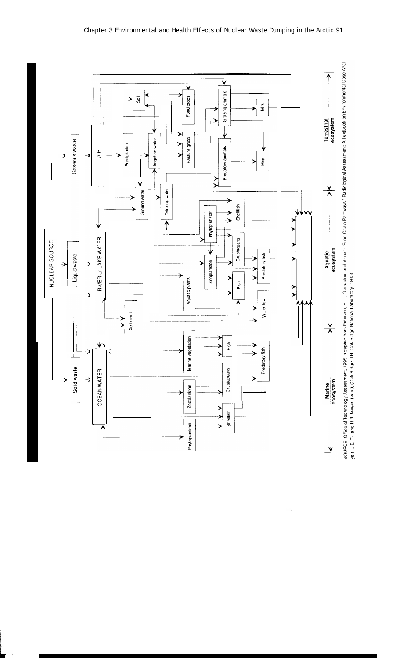



 $\blacktriangleleft$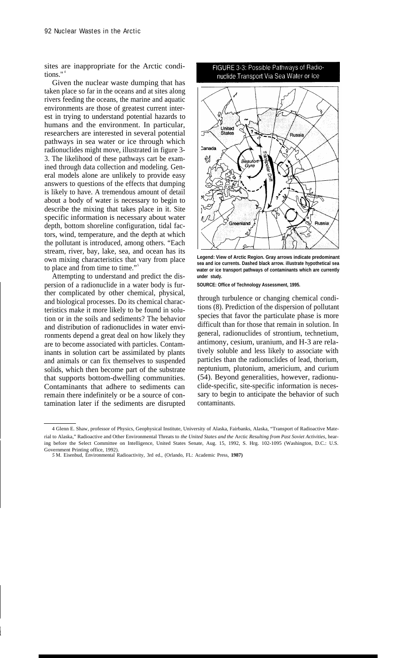sites are inappropriate for the Arctic conditions." <sup>4</sup>

Given the nuclear waste dumping that has taken place so far in the oceans and at sites along rivers feeding the oceans, the marine and aquatic environments are those of greatest current interest in trying to understand potential hazards to humans and the environment. In particular, researchers are interested in several potential pathways in sea water or ice through which radionuclides might move, illustrated in figure 3- 3. The likelihood of these pathways cart be examined through data collection and modeling. General models alone are unlikely to provide easy answers to questions of the effects that dumping is likely to have. A tremendous amount of detail about a body of water is necessary to begin to describe the mixing that takes place in it. Site specific information is necessary about water depth, bottom shoreline configuration, tidal factors, wind, temperature, and the depth at which the pollutant is introduced, among others. "Each stream, river, bay, lake, sea, and ocean has its own mixing characteristics that vary from place to place and from time to time."<sup>5</sup>

Attempting to understand and predict the dispersion of a radionuclide in a water body is further complicated by other chemical, physical, and biological processes. Do its chemical characteristics make it more likely to be found in solution or in the soils and sediments? The behavior and distribution of radionuclides in water environments depend a great deal on how likely they are to become associated with particles. Contaminants in solution cart be assimilated by plants and animals or can fix themselves to suspended solids, which then become part of the substrate that supports bottom-dwelling communities. Contaminants that adhere to sediments can remain there indefinitely or be a source of contamination later if the sediments are disrupted



**Legend: View of Arctic Region. Gray arrows indicate predominant sea and ice currents. Dashed black arrow. illustrate hypothetical sea water or ice transport pathways of contaminants which are currently under study.**

**SOURCE: Office of Technology Assessment, 1995.**

through turbulence or changing chemical conditions (8). Prediction of the dispersion of pollutant species that favor the particulate phase is more difficult than for those that remain in solution. In general, radionuclides of strontium, technetium, antimony, cesium, uranium, and H-3 are relatively soluble and less likely to associate with particles than the radionuclides of lead, thorium, neptunium, plutonium, americium, and curium (54). Beyond generalities, however, radionuclide-specific, site-specific information is necessary to begin to anticipate the behavior of such contaminants.

<sup>4</sup> Glenn E. Shaw, professor of Physics, Geophysical Institute, University of Alaska, Fairbanks, Alaska, "Transport of Radioactive Material to Alaska," Radioactive and Other Environmental Threats to *the United States and the* Arctic *Resulting from Past Soviet Activities,* hearing before the Select Committee on Intelligence, United States Senate, Aug. 15, 1992, S. Hrg. 102-1095 (Washington, D.C.: U.S. Government Printing office, 1992).

*<sup>5</sup>* M. Eisenbud, Environmental Radioactivity, 3rd ed., (Orlando, FL: Academic Press, **1987)**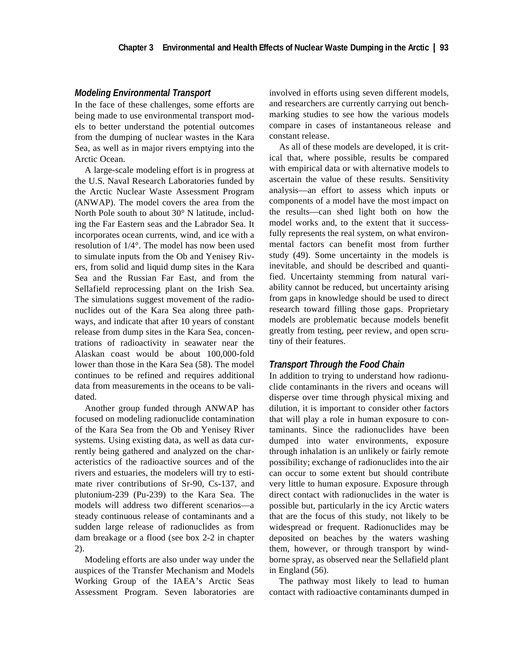#### *Modeling Environmental Transport*

In the face of these challenges, some efforts are being made to use environmental transport models to better understand the potential outcomes from the dumping of nuclear wastes in the Kara Sea, as well as in major rivers emptying into the Arctic Ocean.

A large-scale modeling effort is in progress at the U.S. Naval Research Laboratories funded by the Arctic Nuclear Waste Assessment Program (ANWAP). The model covers the area from the North Pole south to about 30° N latitude, including the Far Eastern seas and the Labrador Sea. It incorporates ocean currents, wind, and ice with a resolution of 1/4°. The model has now been used to simulate inputs from the Ob and Yenisey Rivers, from solid and liquid dump sites in the Kara Sea and the Russian Far East, and from the Sellafield reprocessing plant on the Irish Sea. The simulations suggest movement of the radionuclides out of the Kara Sea along three pathways, and indicate that after 10 years of constant release from dump sites in the Kara Sea, concentrations of radioactivity in seawater near the Alaskan coast would be about 100,000-fold lower than those in the Kara Sea (58). The model continues to be refined and requires additional data from measurements in the oceans to be validated.

Another group funded through ANWAP has focused on modeling radionuclide contamination of the Kara Sea from the Ob and Yenisey River systems. Using existing data, as well as data currently being gathered and analyzed on the characteristics of the radioactive sources and of the rivers and estuaries, the modelers will try to estimate river contributions of Sr-90, Cs-137, and plutonium-239 (Pu-239) to the Kara Sea. The models will address two different scenarios—a steady continuous release of contaminants and a sudden large release of radionuclides as from dam breakage or a flood (see box 2-2 in chapter 2).

Modeling efforts are also under way under the auspices of the Transfer Mechanism and Models Working Group of the IAEA's Arctic Seas Assessment Program. Seven laboratories are involved in efforts using seven different models, and researchers are currently carrying out benchmarking studies to see how the various models compare in cases of instantaneous release and constant release.

As all of these models are developed, it is critical that, where possible, results be compared with empirical data or with alternative models to ascertain the value of these results. Sensitivity analysis—an effort to assess which inputs or components of a model have the most impact on the results—can shed light both on how the model works and, to the extent that it successfully represents the real system, on what environmental factors can benefit most from further study (49). Some uncertainty in the models is inevitable, and should be described and quantified. Uncertainty stemming from natural variability cannot be reduced, but uncertainty arising from gaps in knowledge should be used to direct research toward filling those gaps. Proprietary models are problematic because models benefit greatly from testing, peer review, and open scrutiny of their features.

#### *Transport Through the Food Chain*

In addition to trying to understand how radionuclide contaminants in the rivers and oceans will disperse over time through physical mixing and dilution, it is important to consider other factors that will play a role in human exposure to contaminants. Since the radionuclides have been dumped into water environments, exposure through inhalation is an unlikely or fairly remote possibility; exchange of radionuclides into the air can occur to some extent but should contribute very little to human exposure. Exposure through direct contact with radionuclides in the water is possible but, particularly in the icy Arctic waters that are the focus of this study, not likely to be widespread or frequent. Radionuclides may be deposited on beaches by the waters washing them, however, or through transport by windborne spray, as observed near the Sellafield plant in England (56).

The pathway most likely to lead to human contact with radioactive contaminants dumped in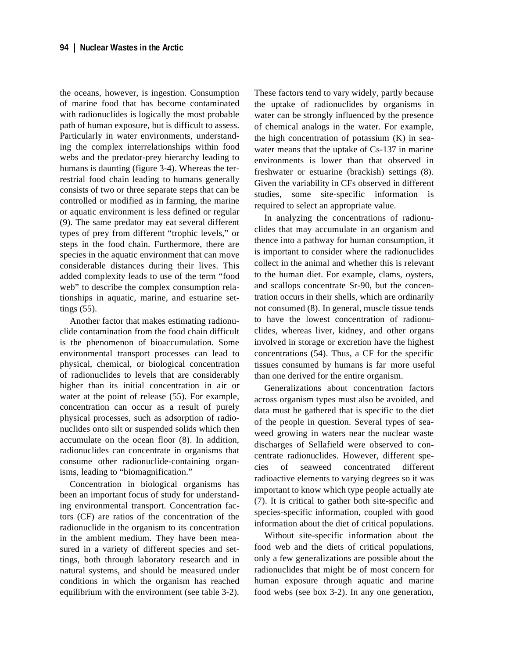the oceans, however, is ingestion. Consumption of marine food that has become contaminated with radionuclides is logically the most probable path of human exposure, but is difficult to assess. Particularly in water environments, understanding the complex interrelationships within food webs and the predator-prey hierarchy leading to humans is daunting (figure 3-4). Whereas the terrestrial food chain leading to humans generally consists of two or three separate steps that can be controlled or modified as in farming, the marine or aquatic environment is less defined or regular (9). The same predator may eat several different types of prey from different "trophic levels," or steps in the food chain. Furthermore, there are species in the aquatic environment that can move considerable distances during their lives. This added complexity leads to use of the term "food web" to describe the complex consumption relationships in aquatic, marine, and estuarine settings (55).

Another factor that makes estimating radionuclide contamination from the food chain difficult is the phenomenon of bioaccumulation. Some environmental transport processes can lead to physical, chemical, or biological concentration of radionuclides to levels that are considerably higher than its initial concentration in air or water at the point of release (55). For example, concentration can occur as a result of purely physical processes, such as adsorption of radionuclides onto silt or suspended solids which then accumulate on the ocean floor (8). In addition, radionuclides can concentrate in organisms that consume other radionuclide-containing organisms, leading to "biomagnification."

Concentration in biological organisms has been an important focus of study for understanding environmental transport. Concentration factors (CF) are ratios of the concentration of the radionuclide in the organism to its concentration in the ambient medium. They have been measured in a variety of different species and settings, both through laboratory research and in natural systems, and should be measured under conditions in which the organism has reached equilibrium with the environment (see table 3-2). These factors tend to vary widely, partly because the uptake of radionuclides by organisms in water can be strongly influenced by the presence of chemical analogs in the water. For example, the high concentration of potassium  $(K)$  in seawater means that the uptake of Cs-137 in marine environments is lower than that observed in freshwater or estuarine (brackish) settings (8). Given the variability in CFs observed in different studies, some site-specific information is required to select an appropriate value.

In analyzing the concentrations of radionuclides that may accumulate in an organism and thence into a pathway for human consumption, it is important to consider where the radionuclides collect in the animal and whether this is relevant to the human diet. For example, clams, oysters, and scallops concentrate Sr-90, but the concentration occurs in their shells, which are ordinarily not consumed (8). In general, muscle tissue tends to have the lowest concentration of radionuclides, whereas liver, kidney, and other organs involved in storage or excretion have the highest concentrations (54). Thus, a CF for the specific tissues consumed by humans is far more useful than one derived for the entire organism.

Generalizations about concentration factors across organism types must also be avoided, and data must be gathered that is specific to the diet of the people in question. Several types of seaweed growing in waters near the nuclear waste discharges of Sellafield were observed to concentrate radionuclides. However, different species of seaweed concentrated different radioactive elements to varying degrees so it was important to know which type people actually ate (7). It is critical to gather both site-specific and species-specific information, coupled with good information about the diet of critical populations.

Without site-specific information about the food web and the diets of critical populations, only a few generalizations are possible about the radionuclides that might be of most concern for human exposure through aquatic and marine food webs (see box 3-2). In any one generation,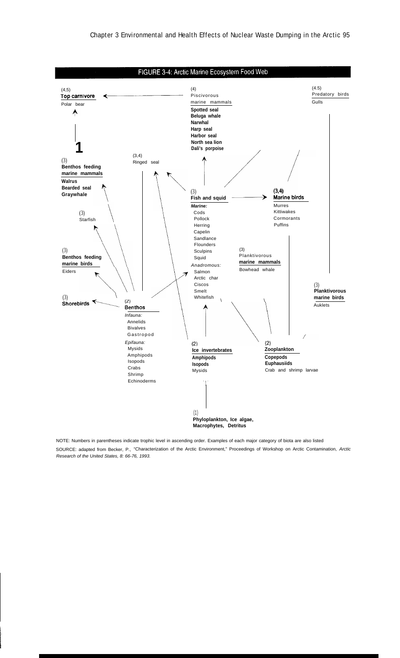

NOTE: Numbers in parentheses indicate trophic level in ascending order. Examples of each major category of biota are also listed SOURCE: adapted from Becker, P., "Characterization of the Arctic Environment," Proceedings of Workshop on Arctic Contamination, Arctic Research of the United States, 8: 66-76, 1993.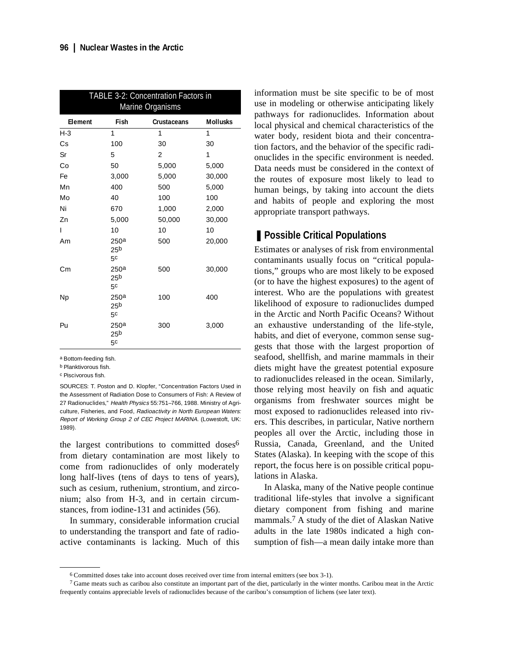| TABLE 3-2: Concentration Factors in<br>Marine Organisms |                                                       |                    |                 |  |
|---------------------------------------------------------|-------------------------------------------------------|--------------------|-----------------|--|
| Element                                                 | Fish                                                  | <b>Crustaceans</b> | <b>Mollusks</b> |  |
| $H-3$                                                   | 1                                                     | 1                  | 1               |  |
| Cs                                                      | 100                                                   | 30                 | 30              |  |
| Sr                                                      | 5                                                     | $\overline{2}$     | 1               |  |
| Co                                                      | 50                                                    | 5,000              | 5,000           |  |
| Fe                                                      | 3,000                                                 | 5,000              | 30,000          |  |
| Mn                                                      | 400                                                   | 500                | 5,000           |  |
| Mo                                                      | 40                                                    | 100                | 100             |  |
| Ni                                                      | 670                                                   | 1,000              | 2,000           |  |
| Zn                                                      | 5,000                                                 | 50,000             | 30,000          |  |
| T                                                       | 10                                                    | 10                 | 10              |  |
| Am                                                      | 250 <sup>a</sup><br>25 <sub>b</sub><br>5c             | 500                | 20,000          |  |
| Сm                                                      | 250a<br>25 <sub>b</sub><br>5 <sup>c</sup>             | 500                | 30,000          |  |
| <b>Np</b>                                               | 250 <sup>a</sup><br>25 <sup>b</sup><br>5 <sup>c</sup> | 100                | 400             |  |
| Pu                                                      | 250 <sup>a</sup><br>25 <sup>b</sup><br>5c             | 300                | 3,000           |  |

a Bottom-feeding fish.

b Planktivorous fish.

c Piscivorous fish.

SOURCES: T. Poston and D. Klopfer, "Concentration Factors Used in the Assessment of Radiation Dose to Consumers of Fish: A Review of 27 Radionuclides," Health Physics 55:751–766, 1988. Ministry of Agriculture, Fisheries, and Food, Radioactivity in North European Waters: Report of Working Group 2 of CEC Project MARINA. (Lowestoft, UK: 1989).

the largest contributions to committed doses<sup>6</sup> from dietary contamination are most likely to come from radionuclides of only moderately long half-lives (tens of days to tens of years), such as cesium, ruthenium, strontium, and zirconium; also from H-3, and in certain circumstances, from iodine-131 and actinides (56).

In summary, considerable information crucial to understanding the transport and fate of radioactive contaminants is lacking. Much of this

information must be site specific to be of most use in modeling or otherwise anticipating likely pathways for radionuclides. Information about local physical and chemical characteristics of the water body, resident biota and their concentration factors, and the behavior of the specific radionuclides in the specific environment is needed. Data needs must be considered in the context of the routes of exposure most likely to lead to human beings, by taking into account the diets and habits of people and exploring the most appropriate transport pathways.

## ■ **Possible Critical Populations**

Estimates or analyses of risk from environmental contaminants usually focus on "critical populations," groups who are most likely to be exposed (or to have the highest exposures) to the agent of interest. Who are the populations with greatest likelihood of exposure to radionuclides dumped in the Arctic and North Pacific Oceans? Without an exhaustive understanding of the life-style, habits, and diet of everyone, common sense suggests that those with the largest proportion of seafood, shellfish, and marine mammals in their diets might have the greatest potential exposure to radionuclides released in the ocean. Similarly, those relying most heavily on fish and aquatic organisms from freshwater sources might be most exposed to radionuclides released into rivers. This describes, in particular, Native northern peoples all over the Arctic, including those in Russia, Canada, Greenland, and the United States (Alaska). In keeping with the scope of this report, the focus here is on possible critical populations in Alaska.

In Alaska, many of the Native people continue traditional life-styles that involve a significant dietary component from fishing and marine mammals.7 A study of the diet of Alaskan Native adults in the late 1980s indicated a high consumption of fish—a mean daily intake more than

<sup>6</sup> Committed doses take into account doses received over time from internal emitters (see box 3-1).

 $7$  Game meats such as caribou also constitute an important part of the diet, particularly in the winter months. Caribou meat in the Arctic frequently contains appreciable levels of radionuclides because of the caribou's consumption of lichens (see later text).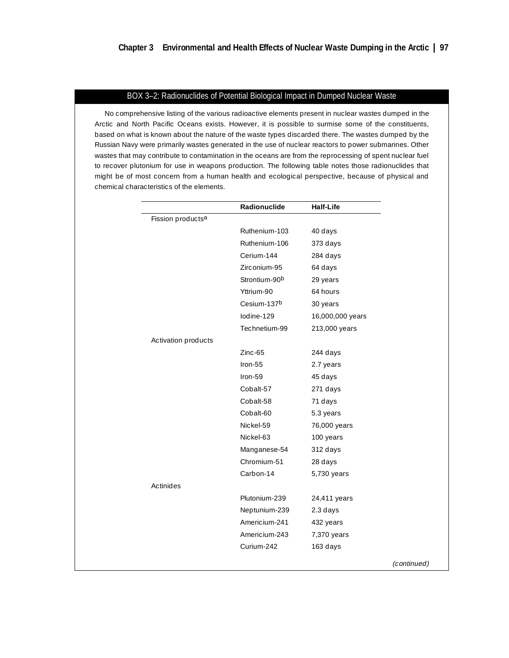### BOX 3–2: Radionuclides of Potential Biological Impact in Dumped Nuclear Waste

No comprehensive listing of the various radioactive elements present in nuclear wastes dumped in the Arctic and North Pacific Oceans exists. However, it is possible to surmise some of the constituents, based on what is known about the nature of the waste types discarded there. The wastes dumped by the Russian Navy were primarily wastes generated in the use of nuclear reactors to power submarines. Other wastes that may contribute to contamination in the oceans are from the reprocessing of spent nuclear fuel to recover plutonium for use in weapons production. The following table notes those radionuclides that might be of most concern from a human health and ecological perspective, because of physical and chemical characteristics of the elements.

|                               | Radionuclide  | <b>Half-Life</b> |             |
|-------------------------------|---------------|------------------|-------------|
| Fission products <sup>a</sup> |               |                  |             |
|                               | Ruthenium-103 | 40 days          |             |
|                               | Ruthenium-106 | 373 days         |             |
|                               | Cerium-144    | 284 days         |             |
|                               | Zirconium-95  | 64 days          |             |
|                               | Strontium-90b | 29 years         |             |
|                               | Yttrium-90    | 64 hours         |             |
|                               | Cesium-137b   | 30 years         |             |
|                               | lodine-129    | 16,000,000 years |             |
|                               | Technetium-99 | 213,000 years    |             |
| Activation products           |               |                  |             |
|                               | Zinc-65       | 244 days         |             |
|                               | $Iron-55$     | 2.7 years        |             |
|                               | Iron-59       | 45 days          |             |
|                               | Cobalt-57     | 271 days         |             |
|                               | Cobalt-58     | 71 days          |             |
|                               | Cobalt-60     | 5.3 years        |             |
|                               | Nickel-59     | 76,000 years     |             |
|                               | Nickel-63     | 100 years        |             |
|                               | Manganese-54  | 312 days         |             |
|                               | Chromium-51   | 28 days          |             |
|                               | Carbon-14     | 5,730 years      |             |
| Actinides                     |               |                  |             |
|                               | Plutonium-239 | 24,411 years     |             |
|                               | Neptunium-239 | 2.3 days         |             |
|                               | Americium-241 | 432 years        |             |
|                               | Americium-243 | 7,370 years      |             |
|                               | Curium-242    | 163 days         |             |
|                               |               |                  | (continued) |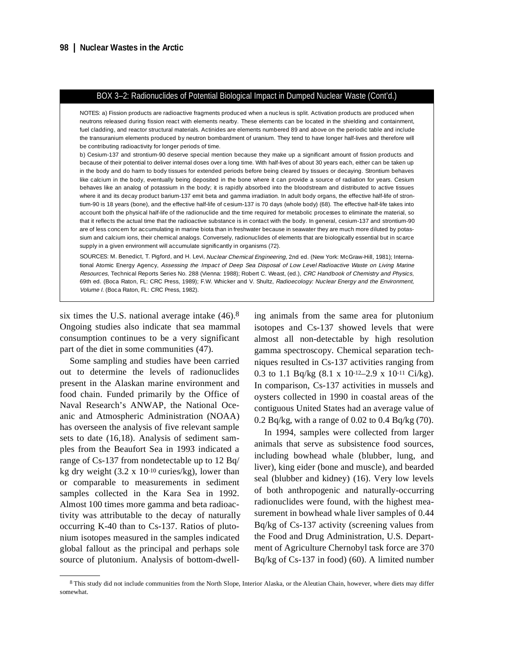#### BOX 3–2: Radionuclides of Potential Biological Impact in Dumped Nuclear Waste (Cont'd.)

NOTES: a) Fission products are radioactive fragments produced when a nucleus is split. Activation products are produced when neutrons released during fission react with elements nearby. These elements can be located in the shielding and containment, fuel cladding, and reactor structural materials. Actinides are elements numbered 89 and above on the periodic table and include the transuranium elements produced by neutron bombardment of uranium. They tend to have longer half-lives and therefore will be contributing radioactivity for longer periods of time.

b) Cesium-137 and strontium-90 deserve special mention because they make up a significant amount of fission products and because of their potential to deliver internal doses over a long time. With half-lives of about 30 years each, either can be taken up in the body and do harm to body tissues for extended periods before being cleared by tissues or decaying. Strontium behaves like calcium in the body, eventually being deposited in the bone where it can provide a source of radiation for years. Cesium behaves like an analog of potassium in the body; it is rapidly absorbed into the bloodstream and distributed to active tissues where it and its decay product barium-137 emit beta and gamma irradiation. In adult body organs, the effective half-life of strontium-90 is 18 years (bone), and the effective half-life of cesium-137 is 70 days (whole body) (68). The effective half-life takes into account both the physical half-life of the radionuclide and the time required for metabolic processes to eliminate the material, so that it reflects the actual time that the radioactive substance is in contact with the body. In general, cesium-137 and strontium-90 are of less concern for accumulating in marine biota than in freshwater because in seawater they are much more diluted by potassium and calcium ions, their chemical analogs. Conversely, radionuclides of elements that are biologically essential but in scarce supply in a given environment will accumulate significantly in organisms (72).

SOURCES: M. Benedict, T. Pigford, and H. Levi, Nuclear Chemical Engineering, 2nd ed. (New York: McGraw-Hill, 1981); International Atomic Energy Agency, Assessing the Impact of Deep Sea Disposal of Low Level Radioactive Waste on Living Marine Resources, Technical Reports Series No. 288 (Vienna: 1988); Robert C. Weast, (ed.), CRC Handbook of Chemistry and Physics, 69th ed. (Boca Raton, FL: CRC Press, 1989); F.W. Whicker and V. Shultz, Radioecology: Nuclear Energy and the Environment, Volume I. (Boca Raton, FL: CRC Press, 1982).

six times the U.S. national average intake (46).8 Ongoing studies also indicate that sea mammal consumption continues to be a very significant part of the diet in some communities (47).

Some sampling and studies have been carried out to determine the levels of radionuclides present in the Alaskan marine environment and food chain. Funded primarily by the Office of Naval Research's ANWAP, the National Oceanic and Atmospheric Administration (NOAA) has overseen the analysis of five relevant sample sets to date (16,18). Analysis of sediment samples from the Beaufort Sea in 1993 indicated a range of Cs-137 from nondetectable up to 12 Bq/ kg dry weight  $(3.2 \times 10^{-10} \text{ curies/kg})$ , lower than or comparable to measurements in sediment samples collected in the Kara Sea in 1992. Almost 100 times more gamma and beta radioactivity was attributable to the decay of naturally occurring K-40 than to Cs-137. Ratios of plutonium isotopes measured in the samples indicated global fallout as the principal and perhaps sole source of plutonium. Analysis of bottom-dwelling animals from the same area for plutonium isotopes and Cs-137 showed levels that were almost all non-detectable by high resolution gamma spectroscopy. Chemical separation techniques resulted in Cs-137 activities ranging from 0.3 to 1.1 Bq/kg  $(8.1 \times 10^{-12} - 2.9 \times 10^{-11} \text{ Ci/kg})$ . In comparison, Cs-137 activities in mussels and oysters collected in 1990 in coastal areas of the contiguous United States had an average value of 0.2 Bq/kg, with a range of 0.02 to 0.4 Bq/kg (70).

In 1994, samples were collected from larger animals that serve as subsistence food sources, including bowhead whale (blubber, lung, and liver), king eider (bone and muscle), and bearded seal (blubber and kidney) (16). Very low levels of both anthropogenic and naturally-occurring radionuclides were found, with the highest measurement in bowhead whale liver samples of 0.44 Bq/kg of Cs-137 activity (screening values from the Food and Drug Administration, U.S. Department of Agriculture Chernobyl task force are 370 Bq/kg of Cs-137 in food) (60). A limited number

<sup>&</sup>lt;sup>8</sup> This study did not include communities from the North Slope, Interior Alaska, or the Aleutian Chain, however, where diets may differ somewhat.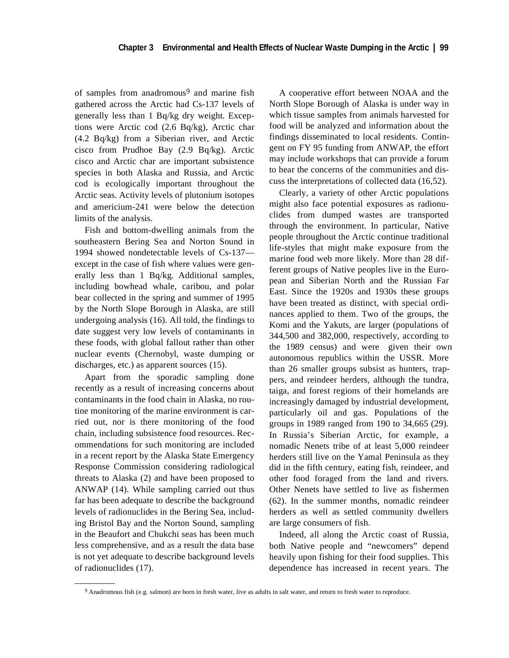of samples from anadromous<sup>9</sup> and marine fish gathered across the Arctic had Cs-137 levels of generally less than 1 Bq/kg dry weight. Exceptions were Arctic cod (2.6 Bq/kg), Arctic char (4.2 Bq/kg) from a Siberian river, and Arctic cisco from Prudhoe Bay (2.9 Bq/kg). Arctic cisco and Arctic char are important subsistence species in both Alaska and Russia, and Arctic cod is ecologically important throughout the Arctic seas. Activity levels of plutonium isotopes and americium-241 were below the detection limits of the analysis.

Fish and bottom-dwelling animals from the southeastern Bering Sea and Norton Sound in 1994 showed nondetectable levels of Cs-137 except in the case of fish where values were generally less than 1 Bq/kg. Additional samples, including bowhead whale, caribou, and polar bear collected in the spring and summer of 1995 by the North Slope Borough in Alaska, are still undergoing analysis (16). All told, the findings to date suggest very low levels of contaminants in these foods, with global fallout rather than other nuclear events (Chernobyl, waste dumping or discharges, etc.) as apparent sources (15).

Apart from the sporadic sampling done recently as a result of increasing concerns about contaminants in the food chain in Alaska, no routine monitoring of the marine environment is carried out, nor is there monitoring of the food chain, including subsistence food resources. Recommendations for such monitoring are included in a recent report by the Alaska State Emergency Response Commission considering radiological threats to Alaska (2) and have been proposed to ANWAP (14). While sampling carried out thus far has been adequate to describe the background levels of radionuclides in the Bering Sea, including Bristol Bay and the Norton Sound, sampling in the Beaufort and Chukchi seas has been much less comprehensive, and as a result the data base is not yet adequate to describe background levels of radionuclides (17).

A cooperative effort between NOAA and the North Slope Borough of Alaska is under way in which tissue samples from animals harvested for food will be analyzed and information about the findings disseminated to local residents. Contingent on FY 95 funding from ANWAP, the effort may include workshops that can provide a forum to hear the concerns of the communities and discuss the interpretations of collected data (16,52).

Clearly, a variety of other Arctic populations might also face potential exposures as radionuclides from dumped wastes are transported through the environment. In particular, Native people throughout the Arctic continue traditional life-styles that might make exposure from the marine food web more likely. More than 28 different groups of Native peoples live in the European and Siberian North and the Russian Far East. Since the 1920s and 1930s these groups have been treated as distinct, with special ordinances applied to them. Two of the groups, the Komi and the Yakuts, are larger (populations of 344,500 and 382,000, respectively, according to the 1989 census) and were given their own autonomous republics within the USSR. More than 26 smaller groups subsist as hunters, trappers, and reindeer herders, although the tundra, taiga, and forest regions of their homelands are increasingly damaged by industrial development, particularly oil and gas. Populations of the groups in 1989 ranged from 190 to 34,665 (29). In Russia's Siberian Arctic, for example, a nomadic Nenets tribe of at least 5,000 reindeer herders still live on the Yamal Peninsula as they did in the fifth century, eating fish, reindeer, and other food foraged from the land and rivers. Other Nenets have settled to live as fishermen (62). In the summer months, nomadic reindeer herders as well as settled community dwellers are large consumers of fish.

Indeed, all along the Arctic coast of Russia, both Native people and "newcomers" depend heavily upon fishing for their food supplies. This dependence has increased in recent years. The

<sup>9</sup> Anadromous fish (e.g. salmon) are born in fresh water, live as adults in salt water, and return to fresh water to reproduce.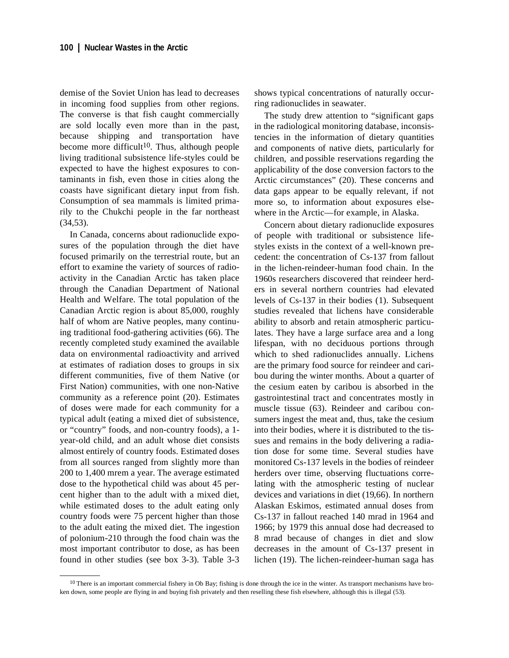demise of the Soviet Union has lead to decreases in incoming food supplies from other regions. The converse is that fish caught commercially are sold locally even more than in the past, because shipping and transportation have become more difficult<sup>10</sup>. Thus, although people living traditional subsistence life-styles could be expected to have the highest exposures to contaminants in fish, even those in cities along the coasts have significant dietary input from fish. Consumption of sea mammals is limited primarily to the Chukchi people in the far northeast (34,53).

In Canada, concerns about radionuclide exposures of the population through the diet have focused primarily on the terrestrial route, but an effort to examine the variety of sources of radioactivity in the Canadian Arctic has taken place through the Canadian Department of National Health and Welfare. The total population of the Canadian Arctic region is about 85,000, roughly half of whom are Native peoples, many continuing traditional food-gathering activities (66). The recently completed study examined the available data on environmental radioactivity and arrived at estimates of radiation doses to groups in six different communities, five of them Native (or First Nation) communities, with one non-Native community as a reference point (20). Estimates of doses were made for each community for a typical adult (eating a mixed diet of subsistence, or "country" foods, and non-country foods), a 1 year-old child, and an adult whose diet consists almost entirely of country foods. Estimated doses from all sources ranged from slightly more than 200 to 1,400 mrem a year. The average estimated dose to the hypothetical child was about 45 percent higher than to the adult with a mixed diet, while estimated doses to the adult eating only country foods were 75 percent higher than those to the adult eating the mixed diet. The ingestion of polonium-210 through the food chain was the most important contributor to dose, as has been found in other studies (see box 3-3). Table 3-3

shows typical concentrations of naturally occurring radionuclides in seawater.

The study drew attention to "significant gaps in the radiological monitoring database, inconsistencies in the information of dietary quantities and components of native diets, particularly for children, and possible reservations regarding the applicability of the dose conversion factors to the Arctic circumstances" (20). These concerns and data gaps appear to be equally relevant, if not more so, to information about exposures elsewhere in the Arctic—for example, in Alaska.

Concern about dietary radionuclide exposures of people with traditional or subsistence lifestyles exists in the context of a well-known precedent: the concentration of Cs-137 from fallout in the lichen-reindeer-human food chain. In the 1960s researchers discovered that reindeer herders in several northern countries had elevated levels of Cs-137 in their bodies (1). Subsequent studies revealed that lichens have considerable ability to absorb and retain atmospheric particulates. They have a large surface area and a long lifespan, with no deciduous portions through which to shed radionuclides annually. Lichens are the primary food source for reindeer and caribou during the winter months. About a quarter of the cesium eaten by caribou is absorbed in the gastrointestinal tract and concentrates mostly in muscle tissue (63). Reindeer and caribou consumers ingest the meat and, thus, take the cesium into their bodies, where it is distributed to the tissues and remains in the body delivering a radiation dose for some time. Several studies have monitored Cs-137 levels in the bodies of reindeer herders over time, observing fluctuations correlating with the atmospheric testing of nuclear devices and variations in diet (19,66). In northern Alaskan Eskimos, estimated annual doses from Cs-137 in fallout reached 140 mrad in 1964 and 1966; by 1979 this annual dose had decreased to 8 mrad because of changes in diet and slow decreases in the amount of Cs-137 present in lichen (19). The lichen-reindeer-human saga has

 $10$  There is an important commercial fishery in Ob Bay; fishing is done through the ice in the winter. As transport mechanisms have broken down, some people are flying in and buying fish privately and then reselling these fish elsewhere, although this is illegal (53).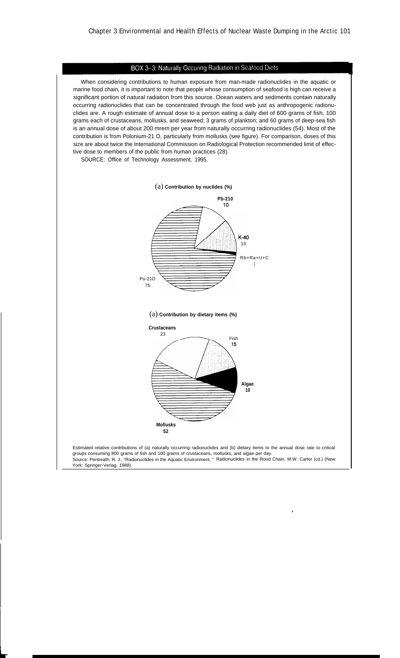#### BOX 3-3: Naturally Occuring Radiation in Seafood Diets

When considering contributions to human exposure from man-made radionuclides in the aquatic or marine food chain, it is important to note that people whose consumption of seafood is high can receive a significant portion of natural radiation from this source. Ocean waters and sediments contain naturally occurring radionuclides that can be concentrated through the food web just as anthropogenic radionuclides are. A rough estimate of annual dose to a person eating a daily diet of 600 grams of fish, 100 grams each of crustaceans, mollusks, and seaweed; 3 grams of plankton; and 60 grams of deep-sea fish is an annual dose of about 200 mrem per year from naturally occurring radionuclides (54). Most of the contribution is from Polonium-21 O, particularly from mollusks (see figure). For comparison, doses of this size are about twice the International Commission on Radiological Protection recommended limit of effective dose to members of the public from human practices (28).

SOURCE: Office of Technology Assessment, 1995.



♦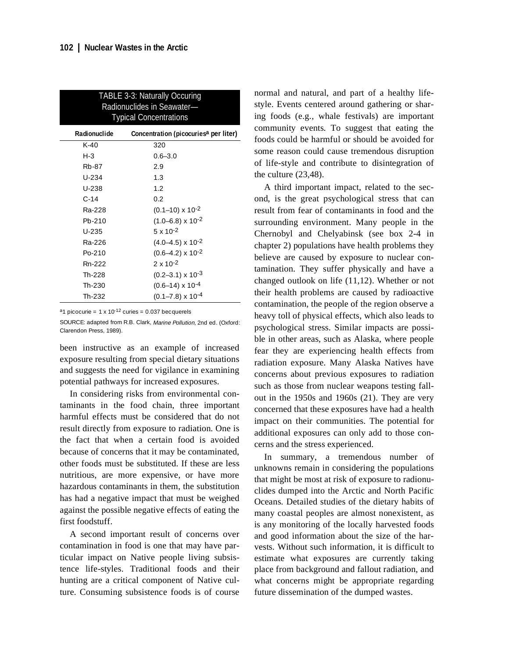| TABLE 3-3: Naturally Occuring<br>Radionuclides in Seawater-<br><b>Typical Concentrations</b> |                                                   |  |  |
|----------------------------------------------------------------------------------------------|---------------------------------------------------|--|--|
| Radionuclide                                                                                 | Concentration (picocuries <sup>a</sup> per liter) |  |  |
| $K-40$                                                                                       | 320                                               |  |  |
| $H-3$                                                                                        | $0.6 - 3.0$                                       |  |  |
| Rb-87                                                                                        | 2.9                                               |  |  |
| U-234                                                                                        | 1.3                                               |  |  |
| U-238                                                                                        | 1.2                                               |  |  |
| $C-14$                                                                                       | 0.2                                               |  |  |
| Ra-228                                                                                       | $(0.1 - 10) \times 10^{-2}$                       |  |  |
| Pb-210                                                                                       | $(1.0 - 6.8) \times 10^{-2}$                      |  |  |
| $U - 235$                                                                                    | $5 \times 10^{-2}$                                |  |  |
| Ra-226                                                                                       | $(4.0 - 4.5) \times 10^{-2}$                      |  |  |
| Po-210                                                                                       | $(0.6 - 4.2) \times 10^{-2}$                      |  |  |
| Rn-222                                                                                       | $2 \times 10^{-2}$                                |  |  |
| Th-228                                                                                       | $(0.2 - 3.1) \times 10^{-3}$                      |  |  |
| Th-230                                                                                       | $(0.6 - 14) \times 10^{-4}$                       |  |  |
| Th-232                                                                                       | $(0.1 - 7.8) \times 10^{-4}$                      |  |  |

<sup>a</sup>1 picocurie =  $1 \times 10^{-12}$  curies = 0.037 becquerels

SOURCE: adapted from R.B. Clark, Marine Pollution, 2nd ed. (Oxford: Clarendon Press, 1989).

been instructive as an example of increased exposure resulting from special dietary situations and suggests the need for vigilance in examining potential pathways for increased exposures.

In considering risks from environmental contaminants in the food chain, three important harmful effects must be considered that do not result directly from exposure to radiation. One is the fact that when a certain food is avoided because of concerns that it may be contaminated, other foods must be substituted. If these are less nutritious, are more expensive, or have more hazardous contaminants in them, the substitution has had a negative impact that must be weighed against the possible negative effects of eating the first foodstuff.

A second important result of concerns over contamination in food is one that may have particular impact on Native people living subsistence life-styles. Traditional foods and their hunting are a critical component of Native culture. Consuming subsistence foods is of course normal and natural, and part of a healthy lifestyle. Events centered around gathering or sharing foods (e.g., whale festivals) are important community events. To suggest that eating the foods could be harmful or should be avoided for some reason could cause tremendous disruption of life-style and contribute to disintegration of the culture (23,48).

A third important impact, related to the second, is the great psychological stress that can result from fear of contaminants in food and the surrounding environment. Many people in the Chernobyl and Chelyabinsk (see box 2-4 in chapter 2) populations have health problems they believe are caused by exposure to nuclear contamination. They suffer physically and have a changed outlook on life (11,12). Whether or not their health problems are caused by radioactive contamination, the people of the region observe a heavy toll of physical effects, which also leads to psychological stress. Similar impacts are possible in other areas, such as Alaska, where people fear they are experiencing health effects from radiation exposure. Many Alaska Natives have concerns about previous exposures to radiation such as those from nuclear weapons testing fallout in the 1950s and 1960s (21). They are very concerned that these exposures have had a health impact on their communities. The potential for additional exposures can only add to those concerns and the stress experienced.

In summary, a tremendous number of unknowns remain in considering the populations that might be most at risk of exposure to radionuclides dumped into the Arctic and North Pacific Oceans. Detailed studies of the dietary habits of many coastal peoples are almost nonexistent, as is any monitoring of the locally harvested foods and good information about the size of the harvests. Without such information, it is difficult to estimate what exposures are currently taking place from background and fallout radiation, and what concerns might be appropriate regarding future dissemination of the dumped wastes.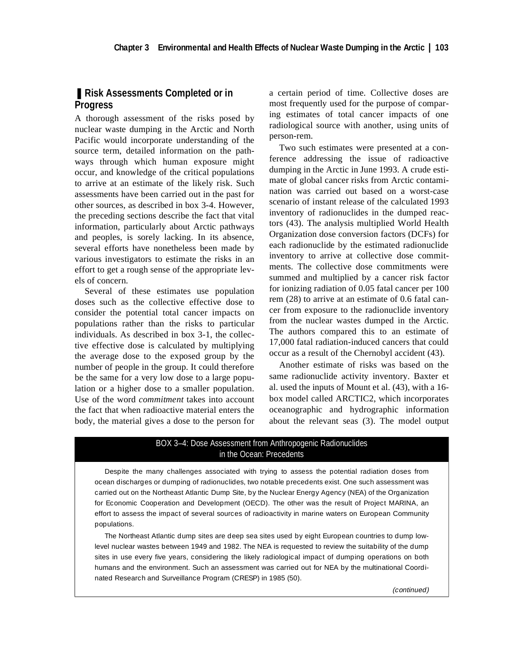# ■ Risk Assessments Completed or in **Progress**

A thorough assessment of the risks posed by nuclear waste dumping in the Arctic and North Pacific would incorporate understanding of the source term, detailed information on the pathways through which human exposure might occur, and knowledge of the critical populations to arrive at an estimate of the likely risk. Such assessments have been carried out in the past for other sources, as described in box 3-4. However, the preceding sections describe the fact that vital information, particularly about Arctic pathways and peoples, is sorely lacking. In its absence, several efforts have nonetheless been made by various investigators to estimate the risks in an effort to get a rough sense of the appropriate levels of concern.

Several of these estimates use population doses such as the collective effective dose to consider the potential total cancer impacts on populations rather than the risks to particular individuals. As described in box 3-1, the collective effective dose is calculated by multiplying the average dose to the exposed group by the number of people in the group. It could therefore be the same for a very low dose to a large population or a higher dose to a smaller population. Use of the word *commitment* takes into account the fact that when radioactive material enters the body, the material gives a dose to the person for

a certain period of time. Collective doses are most frequently used for the purpose of comparing estimates of total cancer impacts of one radiological source with another, using units of person-rem.

Two such estimates were presented at a conference addressing the issue of radioactive dumping in the Arctic in June 1993. A crude estimate of global cancer risks from Arctic contamination was carried out based on a worst-case scenario of instant release of the calculated 1993 inventory of radionuclides in the dumped reactors (43). The analysis multiplied World Health Organization dose conversion factors (DCFs) for each radionuclide by the estimated radionuclide inventory to arrive at collective dose commitments. The collective dose commitments were summed and multiplied by a cancer risk factor for ionizing radiation of 0.05 fatal cancer per 100 rem (28) to arrive at an estimate of 0.6 fatal cancer from exposure to the radionuclide inventory from the nuclear wastes dumped in the Arctic. The authors compared this to an estimate of 17,000 fatal radiation-induced cancers that could occur as a result of the Chernobyl accident (43).

Another estimate of risks was based on the same radionuclide activity inventory. Baxter et al. used the inputs of Mount et al. (43), with a 16 box model called ARCTIC2, which incorporates oceanographic and hydrographic information about the relevant seas (3). The model output

#### BOX 3–4: Dose Assessment from Anthropogenic Radionuclides in the Ocean: Precedents

Despite the many challenges associated with trying to assess the potential radiation doses from ocean discharges or dumping of radionuclides, two notable precedents exist. One such assessment was carried out on the Northeast Atlantic Dump Site, by the Nuclear Energy Agency (NEA) of the Organization for Economic Cooperation and Development (OECD). The other was the result of Project MARINA, an effort to assess the impact of several sources of radioactivity in marine waters on European Community populations.

The Northeast Atlantic dump sites are deep sea sites used by eight European countries to dump lowlevel nuclear wastes between 1949 and 1982. The NEA is requested to review the suitability of the dump sites in use every five years, considering the likely radiological impact of dumping operations on both humans and the environment. Such an assessment was carried out for NEA by the multinational Coordinated Research and Surveillance Program (CRESP) in 1985 (50).

(continued)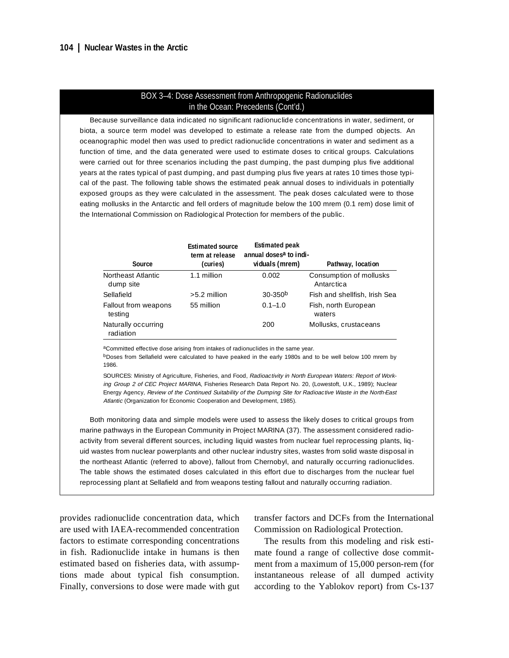#### BOX 3–4: Dose Assessment from Anthropogenic Radionuclides in the Ocean: Precedents (Cont'd.)

Because surveillance data indicated no significant radionuclide concentrations in water, sediment, or biota, a source term model was developed to estimate a release rate from the dumped objects. An oceanographic model then was used to predict radionuclide concentrations in water and sediment as a function of time, and the data generated were used to estimate doses to critical groups. Calculations were carried out for three scenarios including the past dumping, the past dumping plus five additional years at the rates typical of past dumping, and past dumping plus five years at rates 10 times those typical of the past. The following table shows the estimated peak annual doses to individuals in potentially exposed groups as they were calculated in the assessment. The peak doses calculated were to those eating mollusks in the Antarctic and fell orders of magnitude below the 100 mrem (0.1 rem) dose limit of the International Commission on Radiological Protection for members of the public.

| Source                           | <b>Estimated source</b><br>term at release<br>(curies) | <b>Estimated peak</b><br>annual doses <sup>a</sup> to indi-<br>viduals (mrem) | Pathway, location                     |
|----------------------------------|--------------------------------------------------------|-------------------------------------------------------------------------------|---------------------------------------|
| Northeast Atlantic<br>dump site  | 1.1 million                                            | 0.002                                                                         | Consumption of mollusks<br>Antarctica |
| Sellafield                       | $>5.2$ million                                         | $30 - 350$ <sup>b</sup>                                                       | Fish and shellfish, Irish Sea         |
| Fallout from weapons<br>testing  | 55 million                                             | $0.1 - 1.0$                                                                   | Fish, north European<br>waters        |
| Naturally occurring<br>radiation |                                                        | 200                                                                           | Mollusks, crustaceans                 |

aCommitted effective dose arising from intakes of radionuclides in the same year.

bDoses from Sellafield were calculated to have peaked in the early 1980s and to be well below 100 mrem by 1986.

SOURCES: Ministry of Agriculture, Fisheries, and Food, Radioactivity in North European Waters: Report of Working Group 2 of CEC Project MARINA, Fisheries Research Data Report No. 20, (Lowestoft, U.K., 1989); Nuclear Energy Agency, Review of the Continued Suitability of the Dumping Site for Radioactive Waste in the North-East Atlantic (Organization for Economic Cooperation and Development, 1985).

Both monitoring data and simple models were used to assess the likely doses to critical groups from marine pathways in the European Community in Project MARINA (37). The assessment considered radioactivity from several different sources, including liquid wastes from nuclear fuel reprocessing plants, liquid wastes from nuclear powerplants and other nuclear industry sites, wastes from solid waste disposal in the northeast Atlantic (referred to above), fallout from Chernobyl, and naturally occurring radionuclides. The table shows the estimated doses calculated in this effort due to discharges from the nuclear fuel reprocessing plant at Sellafield and from weapons testing fallout and naturally occurring radiation.

provides radionuclide concentration data, which are used with IAEA-recommended concentration factors to estimate corresponding concentrations in fish. Radionuclide intake in humans is then estimated based on fisheries data, with assumptions made about typical fish consumption. Finally, conversions to dose were made with gut transfer factors and DCFs from the International Commission on Radiological Protection.

The results from this modeling and risk estimate found a range of collective dose commitment from a maximum of 15,000 person-rem (for instantaneous release of all dumped activity according to the Yablokov report) from Cs-137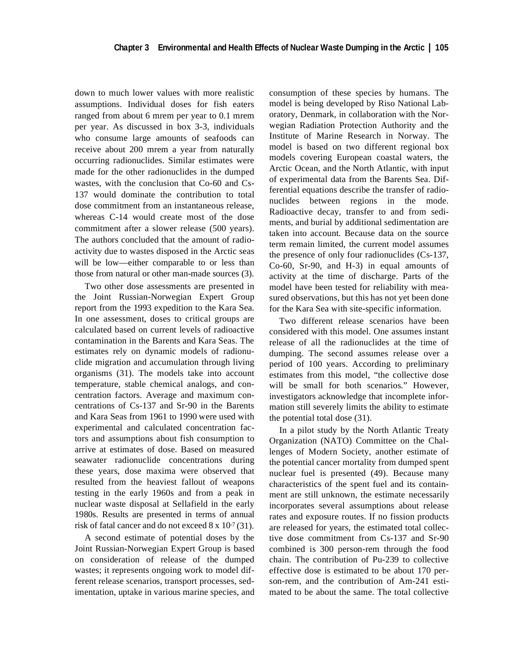down to much lower values with more realistic assumptions. Individual doses for fish eaters ranged from about 6 mrem per year to 0.1 mrem per year. As discussed in box 3-3, individuals who consume large amounts of seafoods can receive about 200 mrem a year from naturally occurring radionuclides. Similar estimates were made for the other radionuclides in the dumped wastes, with the conclusion that Co-60 and Cs-137 would dominate the contribution to total dose commitment from an instantaneous release, whereas C-14 would create most of the dose commitment after a slower release (500 years). The authors concluded that the amount of radioactivity due to wastes disposed in the Arctic seas will be low—either comparable to or less than those from natural or other man-made sources (3).

Two other dose assessments are presented in the Joint Russian-Norwegian Expert Group report from the 1993 expedition to the Kara Sea. In one assessment, doses to critical groups are calculated based on current levels of radioactive contamination in the Barents and Kara Seas. The estimates rely on dynamic models of radionuclide migration and accumulation through living organisms (31). The models take into account temperature, stable chemical analogs, and concentration factors. Average and maximum concentrations of Cs-137 and Sr-90 in the Barents and Kara Seas from 1961 to 1990 were used with experimental and calculated concentration factors and assumptions about fish consumption to arrive at estimates of dose. Based on measured seawater radionuclide concentrations during these years, dose maxima were observed that resulted from the heaviest fallout of weapons testing in the early 1960s and from a peak in nuclear waste disposal at Sellafield in the early 1980s. Results are presented in terms of annual risk of fatal cancer and do not exceed 8 x 10-7 (31).

A second estimate of potential doses by the Joint Russian-Norwegian Expert Group is based on consideration of release of the dumped wastes; it represents ongoing work to model different release scenarios, transport processes, sedimentation, uptake in various marine species, and consumption of these species by humans. The model is being developed by Riso National Laboratory, Denmark, in collaboration with the Norwegian Radiation Protection Authority and the Institute of Marine Research in Norway. The model is based on two different regional box models covering European coastal waters, the Arctic Ocean, and the North Atlantic, with input of experimental data from the Barents Sea. Differential equations describe the transfer of radionuclides between regions in the mode. Radioactive decay, transfer to and from sediments, and burial by additional sedimentation are taken into account. Because data on the source term remain limited, the current model assumes the presence of only four radionuclides (Cs-137, Co-60, Sr-90, and H-3) in equal amounts of activity at the time of discharge. Parts of the model have been tested for reliability with measured observations, but this has not yet been done for the Kara Sea with site-specific information.

Two different release scenarios have been considered with this model. One assumes instant release of all the radionuclides at the time of dumping. The second assumes release over a period of 100 years. According to preliminary estimates from this model, "the collective dose will be small for both scenarios." However, investigators acknowledge that incomplete information still severely limits the ability to estimate the potential total dose (31).

In a pilot study by the North Atlantic Treaty Organization (NATO) Committee on the Challenges of Modern Society, another estimate of the potential cancer mortality from dumped spent nuclear fuel is presented (49). Because many characteristics of the spent fuel and its containment are still unknown, the estimate necessarily incorporates several assumptions about release rates and exposure routes. If no fission products are released for years, the estimated total collective dose commitment from Cs-137 and Sr-90 combined is 300 person-rem through the food chain. The contribution of Pu-239 to collective effective dose is estimated to be about 170 person-rem, and the contribution of Am-241 estimated to be about the same. The total collective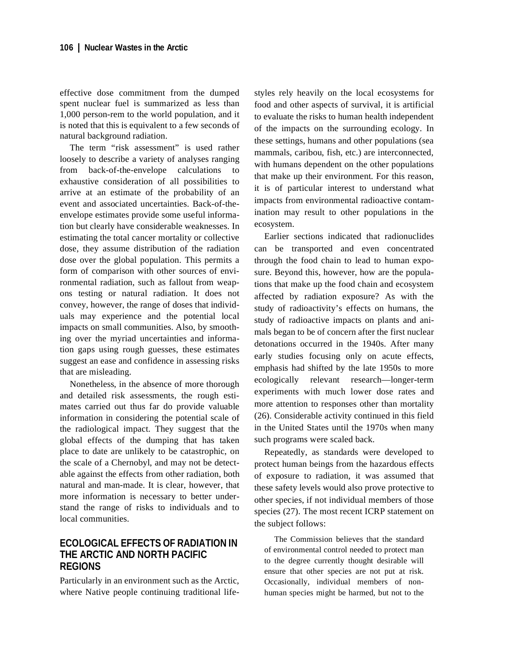effective dose commitment from the dumped spent nuclear fuel is summarized as less than 1,000 person-rem to the world population, and it is noted that this is equivalent to a few seconds of natural background radiation.

The term "risk assessment" is used rather loosely to describe a variety of analyses ranging from back-of-the-envelope calculations to exhaustive consideration of all possibilities to arrive at an estimate of the probability of an event and associated uncertainties. Back-of-theenvelope estimates provide some useful information but clearly have considerable weaknesses. In estimating the total cancer mortality or collective dose, they assume distribution of the radiation dose over the global population. This permits a form of comparison with other sources of environmental radiation, such as fallout from weapons testing or natural radiation. It does not convey, however, the range of doses that individuals may experience and the potential local impacts on small communities. Also, by smoothing over the myriad uncertainties and information gaps using rough guesses, these estimates suggest an ease and confidence in assessing risks that are misleading.

Nonetheless, in the absence of more thorough and detailed risk assessments, the rough estimates carried out thus far do provide valuable information in considering the potential scale of the radiological impact. They suggest that the global effects of the dumping that has taken place to date are unlikely to be catastrophic, on the scale of a Chernobyl, and may not be detectable against the effects from other radiation, both natural and man-made. It is clear, however, that more information is necessary to better understand the range of risks to individuals and to local communities.

## **ECOLOGICAL EFFECTS OF RADIATION IN THE ARCTIC AND NORTH PACIFIC REGIONS**

Particularly in an environment such as the Arctic, where Native people continuing traditional lifestyles rely heavily on the local ecosystems for food and other aspects of survival, it is artificial to evaluate the risks to human health independent of the impacts on the surrounding ecology. In these settings, humans and other populations (sea mammals, caribou, fish, etc.) are interconnected, with humans dependent on the other populations that make up their environment. For this reason, it is of particular interest to understand what impacts from environmental radioactive contamination may result to other populations in the ecosystem.

Earlier sections indicated that radionuclides can be transported and even concentrated through the food chain to lead to human exposure. Beyond this, however, how are the populations that make up the food chain and ecosystem affected by radiation exposure? As with the study of radioactivity's effects on humans, the study of radioactive impacts on plants and animals began to be of concern after the first nuclear detonations occurred in the 1940s. After many early studies focusing only on acute effects, emphasis had shifted by the late 1950s to more ecologically relevant research—longer-term experiments with much lower dose rates and more attention to responses other than mortality (26). Considerable activity continued in this field in the United States until the 1970s when many such programs were scaled back.

Repeatedly, as standards were developed to protect human beings from the hazardous effects of exposure to radiation, it was assumed that these safety levels would also prove protective to other species, if not individual members of those species (27). The most recent ICRP statement on the subject follows:

The Commission believes that the standard of environmental control needed to protect man to the degree currently thought desirable will ensure that other species are not put at risk. Occasionally, individual members of nonhuman species might be harmed, but not to the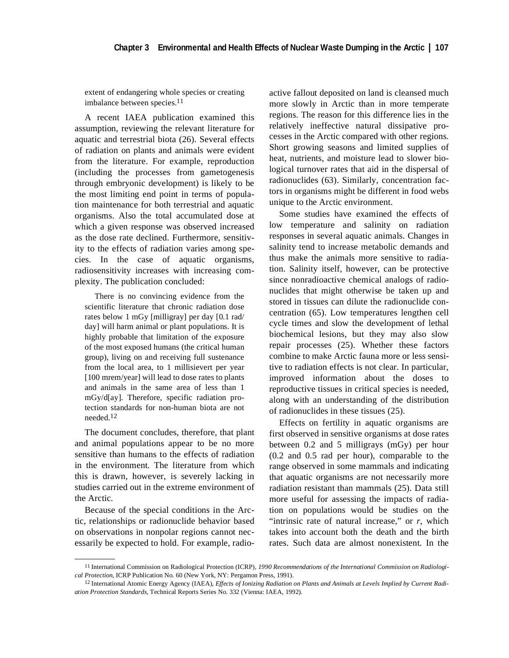extent of endangering whole species or creating imbalance between species.11

A recent IAEA publication examined this assumption, reviewing the relevant literature for aquatic and terrestrial biota (26). Several effects of radiation on plants and animals were evident from the literature. For example, reproduction (including the processes from gametogenesis through embryonic development) is likely to be the most limiting end point in terms of population maintenance for both terrestrial and aquatic organisms. Also the total accumulated dose at which a given response was observed increased as the dose rate declined. Furthermore, sensitivity to the effects of radiation varies among species. In the case of aquatic organisms, radiosensitivity increases with increasing complexity. The publication concluded:

There is no convincing evidence from the scientific literature that chronic radiation dose rates below 1 mGy [milligray] per day [0.1 rad/ day] will harm animal or plant populations. It is highly probable that limitation of the exposure of the most exposed humans (the critical human group), living on and receiving full sustenance from the local area, to 1 millisievert per year [100 mrem/year] will lead to dose rates to plants and animals in the same area of less than 1 mGy/d[ay]. Therefore, specific radiation protection standards for non-human biota are not needed.12

The document concludes, therefore, that plant and animal populations appear to be no more sensitive than humans to the effects of radiation in the environment. The literature from which this is drawn, however, is severely lacking in studies carried out in the extreme environment of the Arctic.

Because of the special conditions in the Arctic, relationships or radionuclide behavior based on observations in nonpolar regions cannot necessarily be expected to hold. For example, radioactive fallout deposited on land is cleansed much more slowly in Arctic than in more temperate regions. The reason for this difference lies in the relatively ineffective natural dissipative processes in the Arctic compared with other regions. Short growing seasons and limited supplies of heat, nutrients, and moisture lead to slower biological turnover rates that aid in the dispersal of radionuclides (63). Similarly, concentration factors in organisms might be different in food webs unique to the Arctic environment.

Some studies have examined the effects of low temperature and salinity on radiation responses in several aquatic animals. Changes in salinity tend to increase metabolic demands and thus make the animals more sensitive to radiation. Salinity itself, however, can be protective since nonradioactive chemical analogs of radionuclides that might otherwise be taken up and stored in tissues can dilute the radionuclide concentration (65). Low temperatures lengthen cell cycle times and slow the development of lethal biochemical lesions, but they may also slow repair processes (25). Whether these factors combine to make Arctic fauna more or less sensitive to radiation effects is not clear. In particular, improved information about the doses to reproductive tissues in critical species is needed, along with an understanding of the distribution of radionuclides in these tissues (25).

Effects on fertility in aquatic organisms are first observed in sensitive organisms at dose rates between 0.2 and 5 milligrays (mGy) per hour (0.2 and 0.5 rad per hour), comparable to the range observed in some mammals and indicating that aquatic organisms are not necessarily more radiation resistant than mammals (25). Data still more useful for assessing the impacts of radiation on populations would be studies on the "intrinsic rate of natural increase," or *r*, which takes into account both the death and the birth rates. Such data are almost nonexistent. In the

<sup>11</sup> International Commission on Radiological Protection (ICRP), *1990 Recommendations of the International Commission on Radiological Protection*, ICRP Publication No. 60 (New York, NY: Pergamon Press, 1991).

<sup>12</sup> International Atomic Energy Agency (IAEA), *Effects of Ionizing Radiation on Plants and Animals at Levels Implied by Current Radiation Protection Standards*, Technical Reports Series No. 332 (Vienna: IAEA, 1992).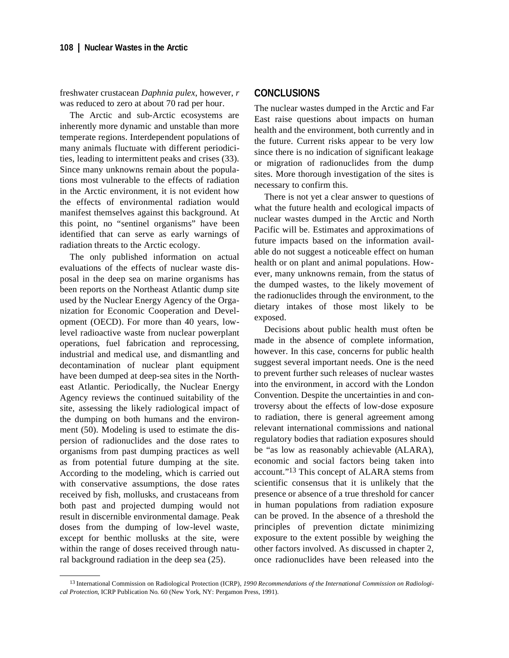freshwater crustacean *Daphnia pulex*, however, *r* was reduced to zero at about 70 rad per hour.

The Arctic and sub-Arctic ecosystems are inherently more dynamic and unstable than more temperate regions. Interdependent populations of many animals fluctuate with different periodicities, leading to intermittent peaks and crises (33). Since many unknowns remain about the populations most vulnerable to the effects of radiation in the Arctic environment, it is not evident how the effects of environmental radiation would manifest themselves against this background. At this point, no "sentinel organisms" have been identified that can serve as early warnings of radiation threats to the Arctic ecology.

The only published information on actual evaluations of the effects of nuclear waste disposal in the deep sea on marine organisms has been reports on the Northeast Atlantic dump site used by the Nuclear Energy Agency of the Organization for Economic Cooperation and Development (OECD). For more than 40 years, lowlevel radioactive waste from nuclear powerplant operations, fuel fabrication and reprocessing, industrial and medical use, and dismantling and decontamination of nuclear plant equipment have been dumped at deep-sea sites in the Northeast Atlantic. Periodically, the Nuclear Energy Agency reviews the continued suitability of the site, assessing the likely radiological impact of the dumping on both humans and the environment (50). Modeling is used to estimate the dispersion of radionuclides and the dose rates to organisms from past dumping practices as well as from potential future dumping at the site. According to the modeling, which is carried out with conservative assumptions, the dose rates received by fish, mollusks, and crustaceans from both past and projected dumping would not result in discernible environmental damage. Peak doses from the dumping of low-level waste, except for benthic mollusks at the site, were within the range of doses received through natural background radiation in the deep sea (25).

## **CONCLUSIONS**

The nuclear wastes dumped in the Arctic and Far East raise questions about impacts on human health and the environment, both currently and in the future. Current risks appear to be very low since there is no indication of significant leakage or migration of radionuclides from the dump sites. More thorough investigation of the sites is necessary to confirm this.

There is not yet a clear answer to questions of what the future health and ecological impacts of nuclear wastes dumped in the Arctic and North Pacific will be. Estimates and approximations of future impacts based on the information available do not suggest a noticeable effect on human health or on plant and animal populations. However, many unknowns remain, from the status of the dumped wastes, to the likely movement of the radionuclides through the environment, to the dietary intakes of those most likely to be exposed.

Decisions about public health must often be made in the absence of complete information, however. In this case, concerns for public health suggest several important needs. One is the need to prevent further such releases of nuclear wastes into the environment, in accord with the London Convention. Despite the uncertainties in and controversy about the effects of low-dose exposure to radiation, there is general agreement among relevant international commissions and national regulatory bodies that radiation exposures should be "as low as reasonably achievable (ALARA), economic and social factors being taken into account."13 This concept of ALARA stems from scientific consensus that it is unlikely that the presence or absence of a true threshold for cancer in human populations from radiation exposure can be proved. In the absence of a threshold the principles of prevention dictate minimizing exposure to the extent possible by weighing the other factors involved. As discussed in chapter 2, once radionuclides have been released into the

<sup>13</sup> International Commission on Radiological Protection (ICRP), *1990 Recommendations of the International Commission on Radiological Protection*, ICRP Publication No. 60 (New York, NY: Pergamon Press, 1991).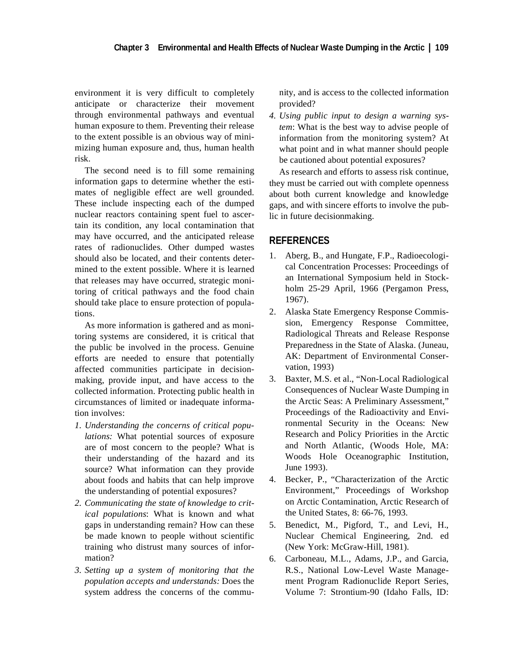environment it is very difficult to completely anticipate or characterize their movement through environmental pathways and eventual human exposure to them. Preventing their release to the extent possible is an obvious way of minimizing human exposure and, thus, human health risk.

The second need is to fill some remaining information gaps to determine whether the estimates of negligible effect are well grounded. These include inspecting each of the dumped nuclear reactors containing spent fuel to ascertain its condition, any local contamination that may have occurred, and the anticipated release rates of radionuclides. Other dumped wastes should also be located, and their contents determined to the extent possible. Where it is learned that releases may have occurred, strategic monitoring of critical pathways and the food chain should take place to ensure protection of populations.

As more information is gathered and as monitoring systems are considered, it is critical that the public be involved in the process. Genuine efforts are needed to ensure that potentially affected communities participate in decisionmaking, provide input, and have access to the collected information. Protecting public health in circumstances of limited or inadequate information involves:

- *1. Understanding the concerns of critical populations:* What potential sources of exposure are of most concern to the people? What is their understanding of the hazard and its source? What information can they provide about foods and habits that can help improve the understanding of potential exposures?
- *2. Communicating the state of knowledge to critical populations*: What is known and what gaps in understanding remain? How can these be made known to people without scientific training who distrust many sources of information?
- *3. Setting up a system of monitoring that the population accepts and understands:* Does the system address the concerns of the commu-

nity, and is access to the collected information provided?

*4. Using public input to design a warning system*: What is the best way to advise people of information from the monitoring system? At what point and in what manner should people be cautioned about potential exposures?

As research and efforts to assess risk continue, they must be carried out with complete openness about both current knowledge and knowledge gaps, and with sincere efforts to involve the public in future decisionmaking.

## **REFERENCES**

- 1. Aberg, B., and Hungate, F.P., Radioecological Concentration Processes: Proceedings of an International Symposium held in Stockholm 25-29 April, 1966 (Pergamon Press, 1967).
- 2. Alaska State Emergency Response Commission, Emergency Response Committee, Radiological Threats and Release Response Preparedness in the State of Alaska. (Juneau, AK: Department of Environmental Conservation, 1993)
- 3. Baxter, M.S. et al., "Non-Local Radiological Consequences of Nuclear Waste Dumping in the Arctic Seas: A Preliminary Assessment," Proceedings of the Radioactivity and Environmental Security in the Oceans: New Research and Policy Priorities in the Arctic and North Atlantic, (Woods Hole, MA: Woods Hole Oceanographic Institution, June 1993).
- 4. Becker, P., "Characterization of the Arctic Environment," Proceedings of Workshop on Arctic Contamination, Arctic Research of the United States, 8: 66-76, 1993.
- 5. Benedict, M., Pigford, T., and Levi, H., Nuclear Chemical Engineering, 2nd. ed (New York: McGraw-Hill, 1981).
- 6. Carboneau, M.L., Adams, J.P., and Garcia, R.S., National Low-Level Waste Management Program Radionuclide Report Series, Volume 7: Strontium-90 (Idaho Falls, ID: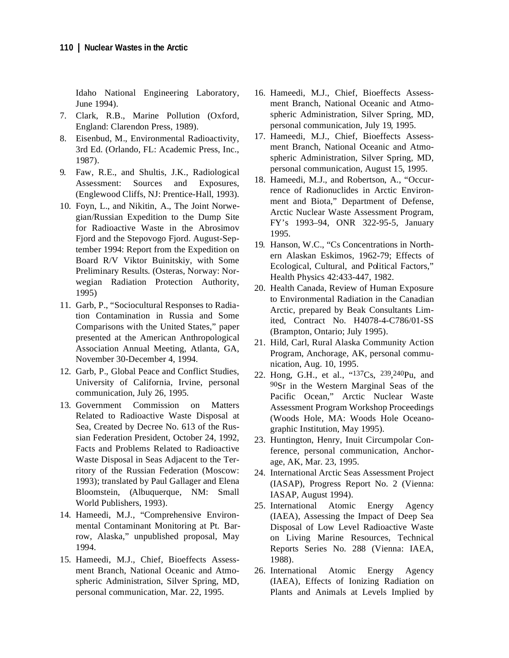Idaho National Engineering Laboratory, June 1994).

- 7. Clark, R.B., Marine Pollution (Oxford, England: Clarendon Press, 1989).
- 8. Eisenbud, M., Environmental Radioactivity, 3rd Ed. (Orlando, FL: Academic Press, Inc., 1987).
- 9. Faw, R.E., and Shultis, J.K., Radiological Assessment: Sources and Exposures, (Englewood Cliffs, NJ: Prentice-Hall, 1993).
- 10. Foyn, L., and Nikitin, A., The Joint Norwegian/Russian Expedition to the Dump Site for Radioactive Waste in the Abrosimov Fjord and the Stepovogo Fjord. August-September 1994: Report from the Expedition on Board R/V Viktor Buinitskiy, with Some Preliminary Results. (Osteras, Norway: Norwegian Radiation Protection Authority, 1995)
- 11. Garb, P., "Sociocultural Responses to Radiation Contamination in Russia and Some Comparisons with the United States," paper presented at the American Anthropological Association Annual Meeting, Atlanta, GA, November 30-December 4, 1994.
- 12. Garb, P., Global Peace and Conflict Studies, University of California, Irvine, personal communication, July 26, 1995.
- 13. Government Commission on Matters Related to Radioactive Waste Disposal at Sea, Created by Decree No. 613 of the Russian Federation President, October 24, 1992, Facts and Problems Related to Radioactive Waste Disposal in Seas Adjacent to the Territory of the Russian Federation (Moscow: 1993); translated by Paul Gallager and Elena Bloomstein, (Albuquerque, NM: Small World Publishers, 1993).
- 14. Hameedi, M.J., "Comprehensive Environmental Contaminant Monitoring at Pt. Barrow, Alaska," unpublished proposal, May 1994.
- 15. Hameedi, M.J., Chief, Bioeffects Assessment Branch, National Oceanic and Atmospheric Administration, Silver Spring, MD, personal communication, Mar. 22, 1995.
- 16. Hameedi, M.J., Chief, Bioeffects Assessment Branch, National Oceanic and Atmospheric Administration, Silver Spring, MD, personal communication, July 19, 1995.
- 17. Hameedi, M.J., Chief, Bioeffects Assessment Branch, National Oceanic and Atmospheric Administration, Silver Spring, MD, personal communication, August 15, 1995.
- 18. Hameedi, M.J., and Robertson, A., "Occurrence of Radionuclides in Arctic Environment and Biota," Department of Defense, Arctic Nuclear Waste Assessment Program, FY's 1993–94, ONR 322-95-5, January 1995.
- 19. Hanson, W.C., "Cs Concentrations in Northern Alaskan Eskimos, 1962-79; Effects of Ecological, Cultural, and Political Factors," Health Physics 42:433-447, 1982.
- 20. Health Canada, Review of Human Exposure to Environmental Radiation in the Canadian Arctic, prepared by Beak Consultants Limited, Contract No. H4078-4-C786/01-SS (Brampton, Ontario; July 1995).
- 21. Hild, Carl, Rural Alaska Community Action Program, Anchorage, AK, personal communication, Aug. 10, 1995.
- 22. Hong, G.H., et al., "137Cs, 239,240Pu, and 90Sr in the Western Marginal Seas of the Pacific Ocean," Arctic Nuclear Waste Assessment Program Workshop Proceedings (Woods Hole, MA: Woods Hole Oceanographic Institution, May 1995).
- 23. Huntington, Henry, Inuit Circumpolar Conference, personal communication, Anchorage, AK, Mar. 23, 1995.
- 24. International Arctic Seas Assessment Project (IASAP), Progress Report No. 2 (Vienna: IASAP, August 1994).
- 25. International Atomic Energy Agency (IAEA), Assessing the Impact of Deep Sea Disposal of Low Level Radioactive Waste on Living Marine Resources, Technical Reports Series No. 288 (Vienna: IAEA, 1988).
- 26. International Atomic Energy Agency (IAEA), Effects of Ionizing Radiation on Plants and Animals at Levels Implied by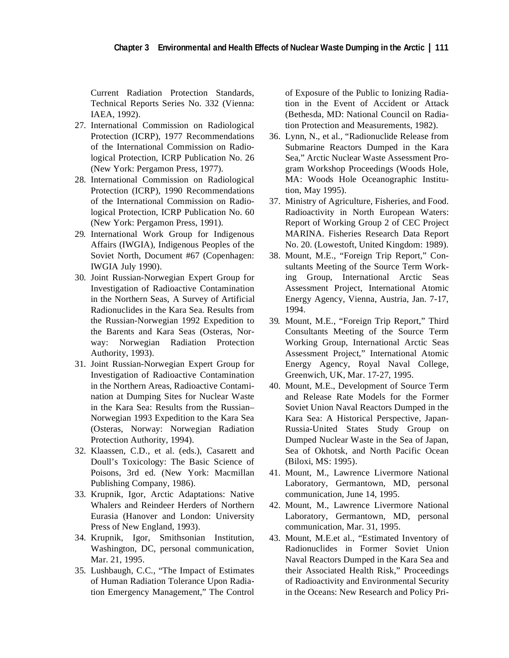Current Radiation Protection Standards, Technical Reports Series No. 332 (Vienna: IAEA, 1992).

- 27. International Commission on Radiological Protection (ICRP), 1977 Recommendations of the International Commission on Radiological Protection, ICRP Publication No. 26 (New York: Pergamon Press, 1977).
- 28. International Commission on Radiological Protection (ICRP), 1990 Recommendations of the International Commission on Radiological Protection, ICRP Publication No. 60 (New York: Pergamon Press, 1991).
- 29. International Work Group for Indigenous Affairs (IWGIA), Indigenous Peoples of the Soviet North, Document #67 (Copenhagen: IWGIA July 1990).
- 30. Joint Russian-Norwegian Expert Group for Investigation of Radioactive Contamination in the Northern Seas, A Survey of Artificial Radionuclides in the Kara Sea. Results from the Russian-Norwegian 1992 Expedition to the Barents and Kara Seas (Osteras, Norway: Norwegian Radiation Protection Authority, 1993).
- 31. Joint Russian-Norwegian Expert Group for Investigation of Radioactive Contamination in the Northern Areas, Radioactive Contamination at Dumping Sites for Nuclear Waste in the Kara Sea: Results from the Russian– Norwegian 1993 Expedition to the Kara Sea (Osteras, Norway: Norwegian Radiation Protection Authority, 1994).
- 32. Klaassen, C.D., et al. (eds.), Casarett and Doull's Toxicology: The Basic Science of Poisons, 3rd ed. (New York: Macmillan Publishing Company, 1986).
- 33. Krupnik, Igor, Arctic Adaptations: Native Whalers and Reindeer Herders of Northern Eurasia (Hanover and London: University Press of New England, 1993).
- 34. Krupnik, Igor, Smithsonian Institution, Washington, DC, personal communication, Mar. 21, 1995.
- 35. Lushbaugh, C.C., "The Impact of Estimates of Human Radiation Tolerance Upon Radiation Emergency Management," The Control

of Exposure of the Public to Ionizing Radiation in the Event of Accident or Attack (Bethesda, MD: National Council on Radiation Protection and Measurements, 1982).

- 36. Lynn, N., et al., "Radionuclide Release from Submarine Reactors Dumped in the Kara Sea," Arctic Nuclear Waste Assessment Program Workshop Proceedings (Woods Hole, MA: Woods Hole Oceanographic Institution, May 1995).
- 37. Ministry of Agriculture, Fisheries, and Food. Radioactivity in North European Waters: Report of Working Group 2 of CEC Project MARINA. Fisheries Research Data Report No. 20. (Lowestoft, United Kingdom: 1989).
- 38. Mount, M.E., "Foreign Trip Report," Consultants Meeting of the Source Term Working Group, International Arctic Seas Assessment Project, International Atomic Energy Agency, Vienna, Austria, Jan. 7-17, 1994.
- 39. Mount, M.E., "Foreign Trip Report," Third Consultants Meeting of the Source Term Working Group, International Arctic Seas Assessment Project," International Atomic Energy Agency, Royal Naval College, Greenwich, UK, Mar. 17-27, 1995.
- 40. Mount, M.E., Development of Source Term and Release Rate Models for the Former Soviet Union Naval Reactors Dumped in the Kara Sea: A Historical Perspective, Japan-Russia-United States Study Group on Dumped Nuclear Waste in the Sea of Japan, Sea of Okhotsk, and North Pacific Ocean (Biloxi, MS: 1995).
- 41. Mount, M., Lawrence Livermore National Laboratory, Germantown, MD, personal communication, June 14, 1995.
- 42. Mount, M., Lawrence Livermore National Laboratory, Germantown, MD, personal communication, Mar. 31, 1995.
- 43. Mount, M.E.et al., "Estimated Inventory of Radionuclides in Former Soviet Union Naval Reactors Dumped in the Kara Sea and their Associated Health Risk," Proceedings of Radioactivity and Environmental Security in the Oceans: New Research and Policy Pri-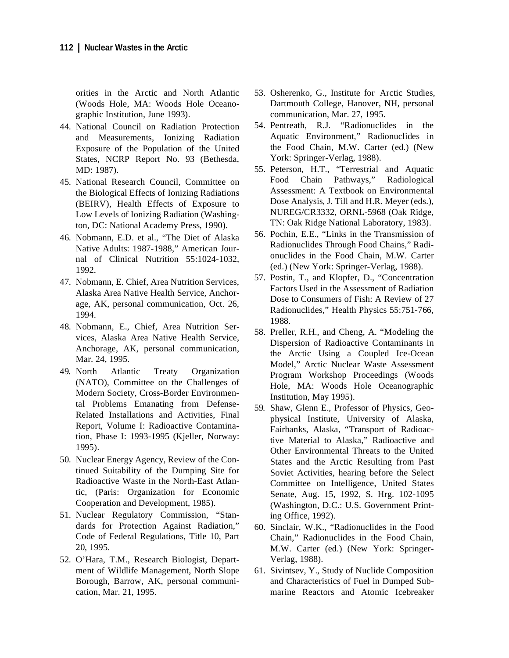orities in the Arctic and North Atlantic (Woods Hole, MA: Woods Hole Oceanographic Institution, June 1993).

- 44. National Council on Radiation Protection and Measurements, Ionizing Radiation Exposure of the Population of the United States, NCRP Report No. 93 (Bethesda, MD: 1987).
- 45. National Research Council, Committee on the Biological Effects of Ionizing Radiations (BEIRV), Health Effects of Exposure to Low Levels of Ionizing Radiation (Washington, DC: National Academy Press, 1990).
- 46. Nobmann, E.D. et al., "The Diet of Alaska Native Adults: 1987-1988," American Journal of Clinical Nutrition 55:1024-1032, 1992.
- 47. Nobmann, E. Chief, Area Nutrition Services, Alaska Area Native Health Service, Anchorage, AK, personal communication, Oct. 26, 1994.
- 48. Nobmann, E., Chief, Area Nutrition Services, Alaska Area Native Health Service, Anchorage, AK, personal communication, Mar. 24, 1995.
- 49. North Atlantic Treaty Organization (NATO), Committee on the Challenges of Modern Society, Cross-Border Environmental Problems Emanating from Defense-Related Installations and Activities, Final Report, Volume I: Radioactive Contamination, Phase I: 1993-1995 (Kjeller, Norway: 1995).
- 50. Nuclear Energy Agency, Review of the Continued Suitability of the Dumping Site for Radioactive Waste in the North-East Atlantic, (Paris: Organization for Economic Cooperation and Development, 1985).
- 51. Nuclear Regulatory Commission, "Standards for Protection Against Radiation," Code of Federal Regulations, Title 10, Part 20, 1995.
- 52. O'Hara, T.M., Research Biologist, Department of Wildlife Management, North Slope Borough, Barrow, AK, personal communication, Mar. 21, 1995.
- 53. Osherenko, G., Institute for Arctic Studies, Dartmouth College, Hanover, NH, personal communication, Mar. 27, 1995.
- 54. Pentreath, R.J. "Radionuclides in the Aquatic Environment," Radionuclides in the Food Chain, M.W. Carter (ed.) (New York: Springer-Verlag, 1988).
- 55. Peterson, H.T., "Terrestrial and Aquatic Food Chain Pathways," Radiological Assessment: A Textbook on Environmental Dose Analysis, J. Till and H.R. Meyer (eds.), NUREG/CR3332, ORNL-5968 (Oak Ridge, TN: Oak Ridge National Laboratory, 1983).
- 56. Pochin, E.E., "Links in the Transmission of Radionuclides Through Food Chains," Radionuclides in the Food Chain, M.W. Carter (ed.) (New York: Springer-Verlag, 1988).
- 57. Postin, T., and Klopfer, D., "Concentration Factors Used in the Assessment of Radiation Dose to Consumers of Fish: A Review of 27 Radionuclides," Health Physics 55:751-766, 1988.
- 58. Preller, R.H., and Cheng, A. "Modeling the Dispersion of Radioactive Contaminants in the Arctic Using a Coupled Ice-Ocean Model," Arctic Nuclear Waste Assessment Program Workshop Proceedings (Woods Hole, MA: Woods Hole Oceanographic Institution, May 1995).
- 59. Shaw, Glenn E., Professor of Physics, Geophysical Institute, University of Alaska, Fairbanks, Alaska, "Transport of Radioactive Material to Alaska," Radioactive and Other Environmental Threats to the United States and the Arctic Resulting from Past Soviet Activities, hearing before the Select Committee on Intelligence, United States Senate, Aug. 15, 1992, S. Hrg. 102-1095 (Washington, D.C.: U.S. Government Printing Office, 1992).
- 60. Sinclair, W.K., "Radionuclides in the Food Chain," Radionuclides in the Food Chain, M.W. Carter (ed.) (New York: Springer-Verlag, 1988).
- 61. Sivintsev, Y., Study of Nuclide Composition and Characteristics of Fuel in Dumped Submarine Reactors and Atomic Icebreaker